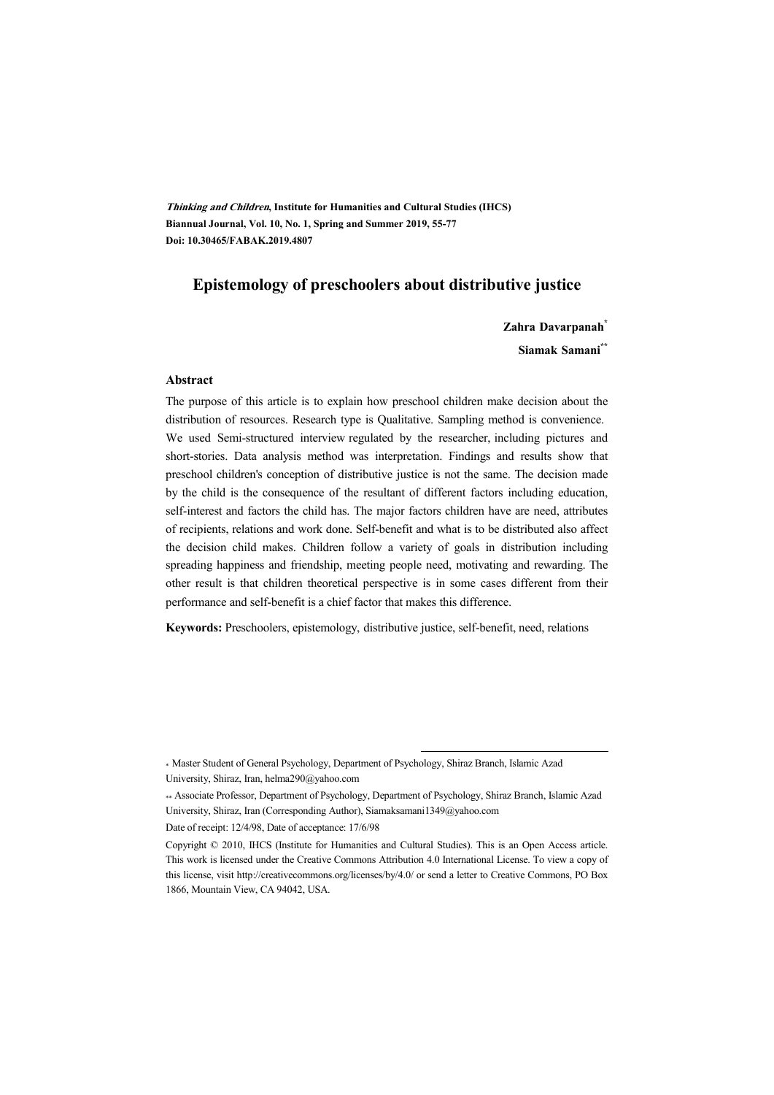**Thinking and Children, Institute for Humanities and Cultural Studies (IHCS) Biannual Journal, Vol. 10, No. 1, Spring and Summer 2019, 55-77 Doi: 10.30465/FABAK.2019.4807** 

## **Epistemology of preschoolers about distributive justice**

**Zahra Davarpanah\***

**Siamak Samani\*\***

#### **Abstract**

The purpose of this article is to explain how preschool children make decision about the distribution of resources. Research type is Qualitative. Sampling method is convenience. We used Semi-structured interview regulated by the researcher, including pictures and short-stories. Data analysis method was interpretation. Findings and results show that preschool children's conception of distributive justice is not the same. The decision made by the child is the consequence of the resultant of different factors including education, self-interest and factors the child has. The major factors children have are need, attributes of recipients, relations and work done. Self-benefit and what is to be distributed also affect the decision child makes. Children follow a variety of goals in distribution including spreading happiness and friendship, meeting people need, motivating and rewarding. The other result is that children theoretical perspective is in some cases different from their performance and self-benefit is a chief factor that makes this difference.

**Keywords:** Preschoolers, epistemology, distributive justice, self-benefit, need, relations

.

Date of receipt: 12/4/98, Date of acceptance: 17/6/98

<sup>\*</sup> Master Student of General Psychology, Department of Psychology, Shiraz Branch, Islamic Azad University, Shiraz, Iran, helma290@yahoo.com

<sup>\*\*</sup> Associate Professor, Department of Psychology, Department of Psychology, Shiraz Branch, Islamic Azad University, Shiraz, Iran (Corresponding Author), Siamaksamani1349@yahoo.com

Copyright © 2010, IHCS (Institute for Humanities and Cultural Studies). This is an Open Access article. This work is licensed under the Creative Commons Attribution 4.0 International License. To view a copy of this license, visit http://creativecommons.org/licenses/by/4.0/ or send a letter to Creative Commons, PO Box 1866, Mountain View, CA 94042, USA.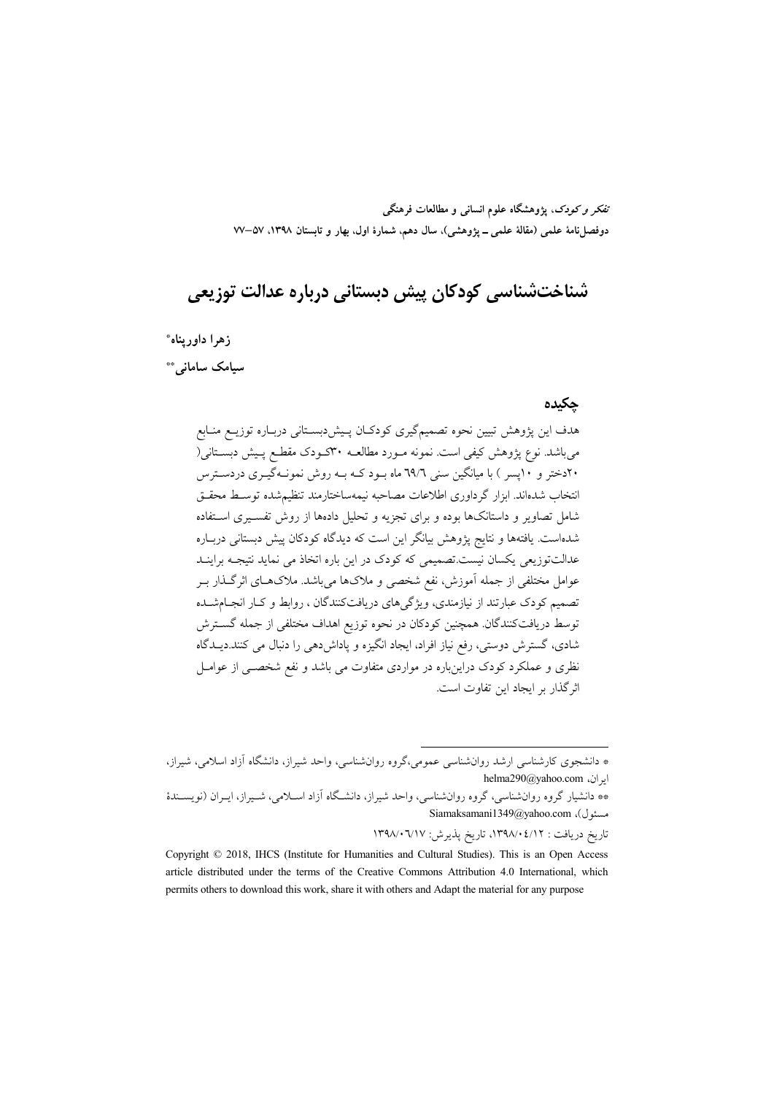تفکر و کودک، یژوهشگاه علوم انسانی و مطالعات فرهنگی دوفصلiاه علمی (مقالهٔ علمی ــ پژوهشی)، سال دهم، شمارهٔ اول، بهار و تابستان ۱۳۹۸، ۵۷–۷۷

# شناختشناسی کودکان پیش دبستانی درباره عدالت توزیعی

زهرا داوريناه\*

سیامک سامانی\*\*

#### جكيده

هدف این پژوهش تبیین نحوه تصمیمگیری کودکـان پـیشدبسـتانی دربـاره توزیــع منـابع می باشد. نوع یژوهش کیفی است. نمونه مـورد مطالعــه ۳۰کــودک مقطــع پــیش دبســتانی( ۲۰دختر و ۱۰یسر ) با میانگین سنی ۲۹/۲ ماه بـود کـه بـه روش نمونـهگیـری دردسـترس انتخاب شدهاند. ابزار گرداوری اطلاعات مصاحبه نیمهساختارمند تنظیمشده توسط محقـق شامل تصاویر و داستانکها بوده و برای تجزیه و تحلیل دادهها از روش تفسیری استفاده شدهاست. یافتهها و نتایج پژوهش بیانگر این است که دیدگاه کودکان پیش دبستانی دربـاره عدالتتوزیعی یکسان نیست.تصمیمی که کودک در این باره اتخاذ می نماید نتیجـه براینــد عوامل مختلفی از جمله آموزش، نفع شخصی و ملاکها میباشد. ملاکهـای اثرگـذار بــر تصمیم کودک عبارتند از نیازمندی، ویژگیهای دریافتکنندگان ، روابط و کـار انجـامشــده توسط دریافتکنندگان. همچنین کودکان در نحوه توزیع اهداف مختلفی از جمله گسترش شادي، گسترش دوستي، رفع نياز افراد، ايجاد انگيزه و ياداش دهي را دنبال مي كنند.ديــدگاه نظری و عملکرد کودک دراینباره در مواردی متفاوت می باشد و نفع شخصـی از عوامـل اثر گذار بر ایجاد این تفاوت است.

تاریخ دریافت : ۰۲۹۸/۰٤/۱۲ تاریخ پذیرش: ۰٦/۱۷/۰٦/۱۲

<sup>\*</sup> دانشجوی کارشناسی ارشد روانشناسی عمومی،گروه روانشناسی، واحد شیراز، دانشگاه آزاد اسلامی، شیراز، helma290@yahoo.com ابران،

<sup>\*\*</sup> دانشیار گروه روانشناسی، گروه روانشناسی، واحد شیراز، دانشگاه آزاد اسـلامی، شـیراز، ایـران (نویسـندهٔ Siamaksamani1349@yahoo.com ،(مسئول)

Copyright © 2018, IHCS (Institute for Humanities and Cultural Studies). This is an Open Access article distributed under the terms of the Creative Commons Attribution 4.0 International, which permits others to download this work, share it with others and Adapt the material for any purpose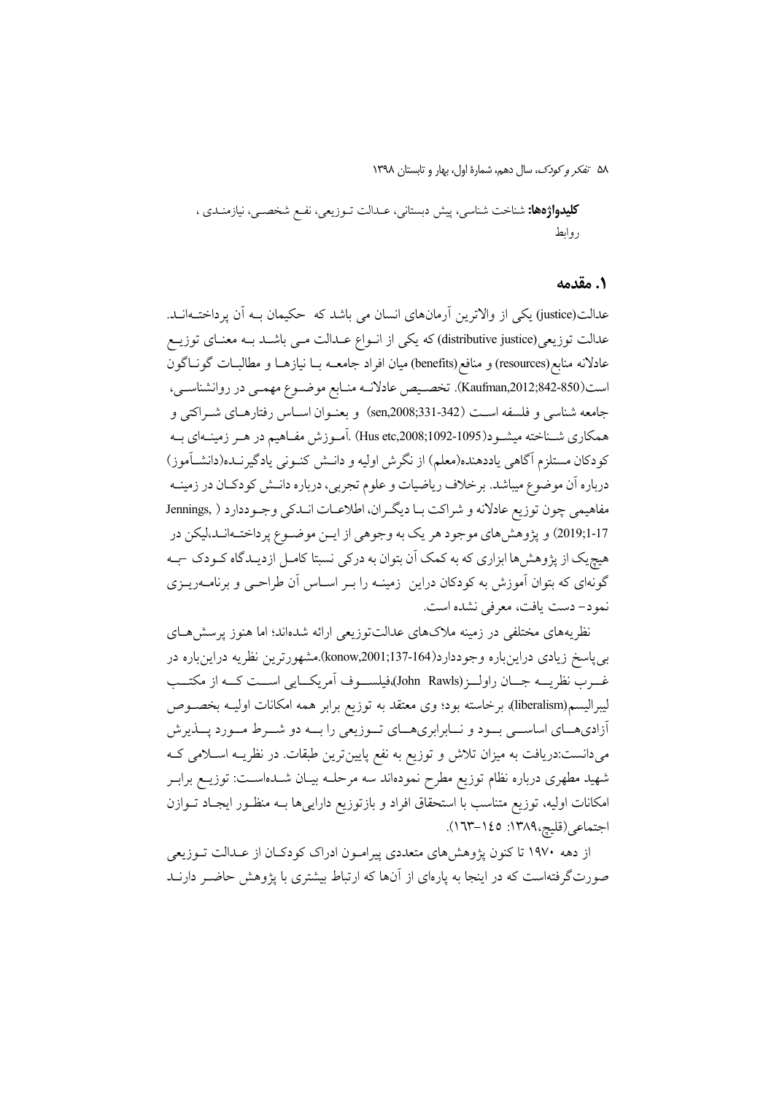**كليدواژهها:** شناخت شناسي، پيش دبستاني، عــدالت تــوزيعي، نفــع شخصــي، نيازمنــدي ، روابط

#### ١. مقدمه

عدالت(justice) یکی از والاترین آرمانهای انسان می باشد که حکیمان بـه آن پرداختــهانــد. عدالت توزیعی(distributive justice) که یکی از انواع عــدالت مــی باشــد بــه معنــای توزیــع عادلانه منابع(resources) و منافع(benefits) میان افراد جامعــه بــا نیازهــا و مطالبــات گونــاگون است(850-842;Kaufman,2012;842). تخصـيص عادلانـه منـابع موضـوع مهمـي در روانشناسـي، جامعه شناسي و فلسفه است (342-331;sen,2008) و بعنـوان اسـاس رفتارهـاي شـراكتي و همكاري شـناخته ميشـود(1095-1092;1092-Hus etc) .آمـوزش مفـاهيم در هـر زمينـهاي بـه كودكان مستلزم آگاهي ياددهنده(معلم) از نگرش اوليه و دانـش كنـوني يادگيرنـده(دانشــاَموز) درباره آن موضوع میباشد. برخلاف ریاضیات و علوم تجربی، درباره دانـش کودکـان در زمینــه مفاهيمي چون توزيع عادلانه و شراكت بـا ديگـران، اطلاعـات انــدكي وجـوددارد ( ,Jennings 17-2019;1) و پژوهش هاي موجود هر يک به وجوهي از ايـن موضـوع پرداختـهانـد،ليکن در هیچیک از پژوهش،ها ابزاری که به کمک آن بتوان به درکی نسبتا کامـل ازدیـدگاه کـودک جـه گونهای که بتوان آموزش به کودکان دراین ِ زمینـه را بـر اسـاس آن طراحـی و برنامــهریــزی نمود- دست يافت، معرفي نشده است.

نظریههای مختلفی در زمینه ملاکهای عدالتتوزیعی ارائه شدهاند؛ اما هنوز پرسش هـای بی پاسخ زیادی دراینباره وجوددارد(164-137;konow,2001).مشهورترین نظریه دراینباره در غــرب نظريـــه جـــان راولـــز (John Rawls)،فيلســـوف آمريكـــايي اســـت كـــه از مكتـــب ليبراليسم(liberalism)، برخاسته بود؛ وي معتقد به توزيع برابر همه امكانات اوليـه بخصـوص آزادیهـای اساســی بــود و نــابرابریهــای تــوزیعی را بــه دو شــرط مــورد پــذیرش میدانست:دریافت به میزان تلاش و توزیع به نفع پایینترین طبقات. در نظریـه اسـلامی کـه شهید مطهری درباره نظام توزیع مطرح نمودهاند سه مرحلــه بیــان شــدهاســت: توزیــع برابــر امکانات اولیه، توزیع متناسب با استحقاق افراد و بازتوزیع داراییها بـه منظـور ایجـاد تـوازن اجتماعي (قليج،١٣٨٩: ١٤٥-١٦٣).

از دهه ۱۹۷۰ تا کنون پژوهشهای متعددی پیرامون ادراک کودکان از عـدالت تـوزیعی صورتگرفتهاست که در اینجا به پارهای از آنها که ارتباط بیشتری با پژوهش حاضـر دارنــد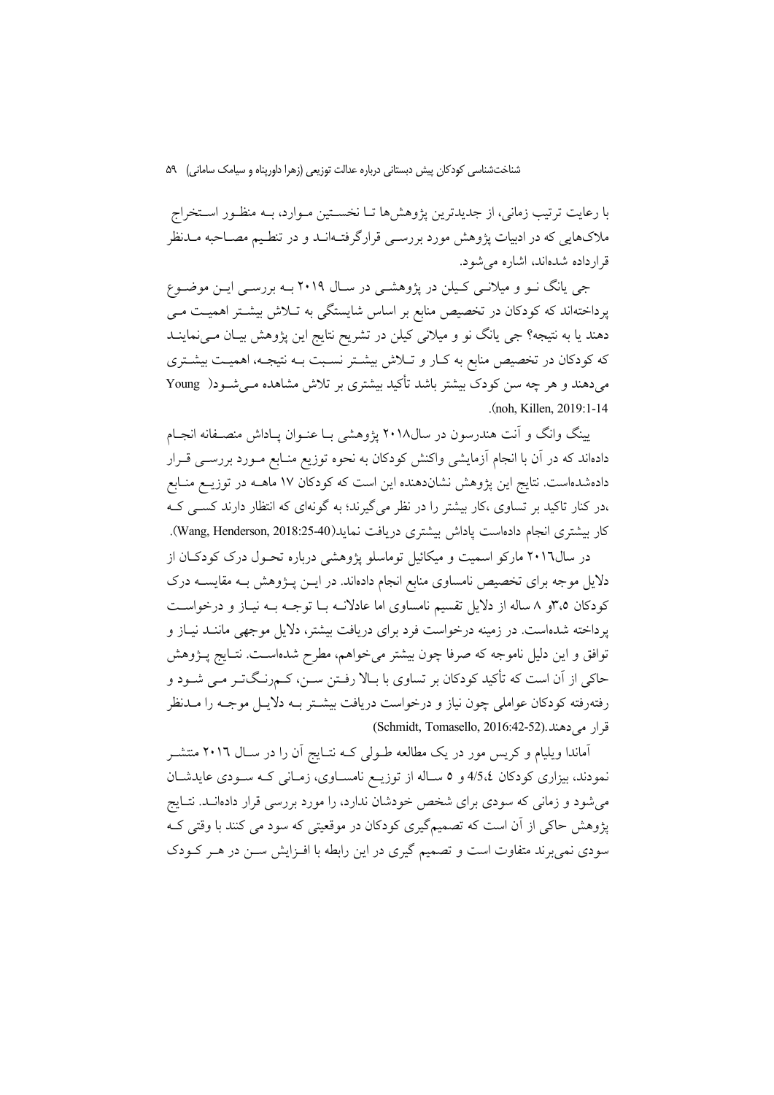با رعایت ترتیب زمانی، از جدیدترین پژوهشها تـا نخسـتین مـوارد، بـه منظـور اسـتخراج ملاکهایی که در ادبیات پژوهش مورد بررسـی قرارگرفتـهانــد و در تنطـیم مصــاحبه مــدنظر قرارداده شدهاند، اشاره می شود.

جی یانگ نــو و میلانــی کــیلن در پژوهشــی در ســال ۲۰۱۹ بــه بررســی ایــن موضــوع پرداختهاند که کودکان در تخصیص منابع بر اساس شایستگی به تـلاش بیشـتر اهمیـت مـی دهند یا به نتیجه؟ جی یانگ نو و میلانی کیلن در تشریح نتایج این پژوهش بیـان مـیiماینــد که کودکان در تخصیص منابع به کـار و تــلاش بیشــتر نسـبت بــه نتیجــه، اهمیــت بیشــتری می،دهند و هر چه سن کودک بیشتر باشد تأکید بیشتری بر تلاش مشاهده مـی شـود( Young (noh. Killen, 2019:1-14)

پینگ وانگ و آنت هندرسون در سال۲۰۱۸ پژوهشی بـا عنـوان پــاداش منصـفانه انجــام دادهاند که در آن با انجام آزمایشی واکنش کودکان به نحوه توزیع منـابع مــورد بررســی قــرار دادهشدهاست. نتایج این پژوهش نشاندهنده این است که کودکان ۱۷ ماهــه در توزیــع منــابع ،در کنار تاکید بر تساوی ،کار بیشتر را در نظر میگیرند؛ به گونهای که انتظار دارند کســی کــه كار بيشترى انجام دادهاست پاداش بيشترى دريافت نمايد(Wang, Henderson, 2018:25-40).

در سال۲۰۱٦ مارکو اسمیت و میکائیل توماسلو یژوهشی درباره تحـول درک کودکـان از دلایل موجه برای تخصیص نامساوی منابع انجام دادماند. در ایــن پــژوهش بــه مقایســه درک کودکان ۴٫۵و ۸ ساله از دلایل تقسیم نامساوی اما عادلانـه بـا توجـه بـه نیـاز و درخواسـت پرداخته شدهاست. در زمینه درخواست فرد برای دریافت بیشتر، دلایل موجهی ماننـد نیـاز و توافق و این دلیل ناموجه که صرفا چون بیشتر میخواهم، مطرح شدهاست. نتـایج پــژوهش حاکی از آن است که تأکید کودکان بر تساوی با بـالا رفـتن سـن، کـمرنـگتـر مـی شـود و رفتهرفته کودکان عواملی چون نیاز و درخواست دریافت بیشـتر بـه دلایـل موجـه را مــدنظر قرار مي دهند .(Schmidt, Tomasello, 2016:42-52)

آماندا ویلیام و کریس مور در یک مطالعه طـولی کـه نتـایج آن را در سـال ۲۰۱٦ منتشـر نمودند، بیزاری کودکان 4/5،٤ و ٥ ساله از توزیـع نامسـاوی، زمـانی کـه سـودی عایدشـان میشود و زمانی که سودی برای شخص خودشان ندارد، را مورد بررسی قرار دادهانـد. نتـایج پژوهش حاکی از آن است که تصمیمگیری کودکان در موقعیتی که سود می کنند با وقتی ک سودی نمی برند متفاوت است و تصمیم گیری در این رابطه با افـزایش سـن در هـر کـودک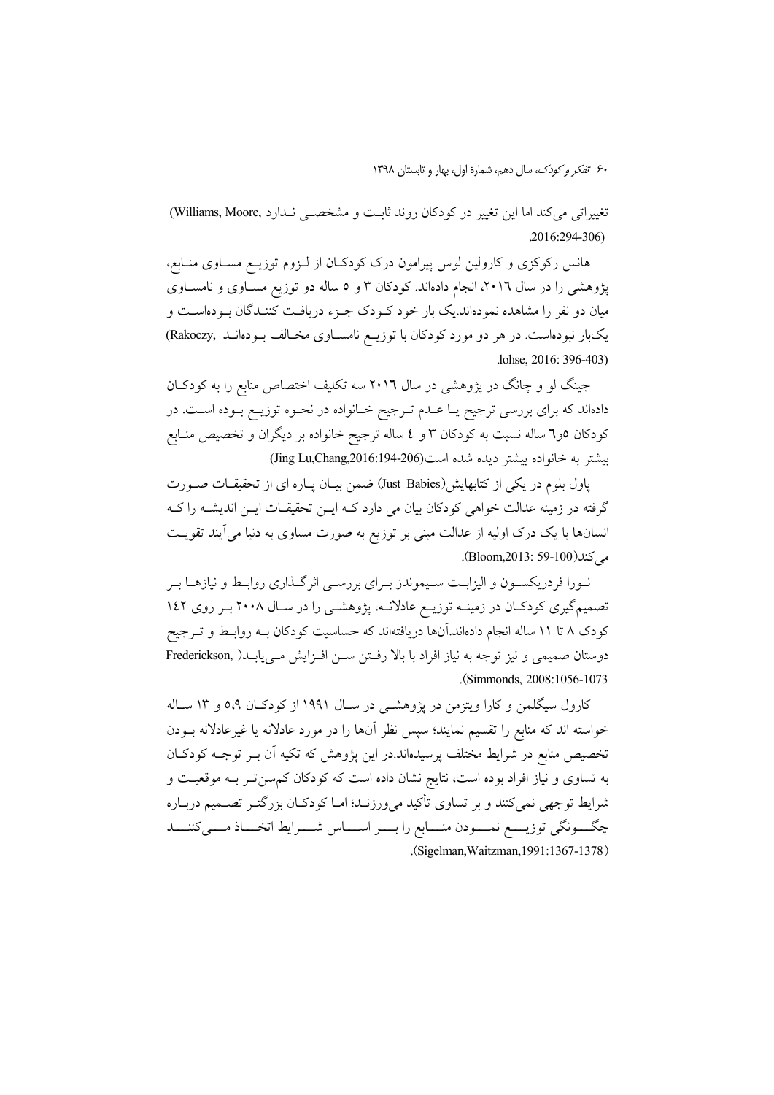تغییراتی می کند اما این تغییر در کودکان روند ثابت و مشخصـی نـدارد .Williams, Moore)  $2016:294-306$ 

هانس رکوکزی و کارولین لوس پیرامون درک کودکـان از لـزوم توزیــع مســاوی منــابع، پژوهشی را در سال ۲۰۱٦، انجام دادهاند. کودکان ۳ و ۵ ساله دو توزیع مســاوی و نامســاوی میان دو نفر را مشاهده نمودهاند.یک بار خود کـودک جـزء دریافـت کننـدگان بــودهاســت و یکبار نبودهاست. در هر دو مورد کودکان با توزیـع نامسـاوی مخـالف بـودهانـد (Rakoczy lohse, 2016: 396-403)

جینگ لو و چانگ در پژوهشی در سال ۲۰۱٦ سه تکلیف اختصاص منابع را به کودکـان دادهاند که برای بررسی ترجیح یـا عـدم تـرجیح خـانواده در نحـوه توزیـع بـوده اسـت. در کودکان ٥و٦ ساله نسبت به کودکان ٣ و ٤ ساله ترجیح خانواده بر دیگران و تخصیص منـابع بيشتر به خانواده بيشتر ديده شده است(2016-194-2016) Uing Lu,Chang,2016

یاول بلوم در یکی از کتابهایش(Just Babies) ضمن بیـان پیاره ای از تحقیقیات صـورت گرفته در زمینه عدالت خواهی کودکان بیان می دارد کـه ایــن تحقیقــات ایــن اندیشــه را کــه انسانها با یک درک اولیه از عدالت مبنی بر توزیع به صورت مساوی به دنیا می آیند تقویت مه كند(100-59-913). (Bloom,2013).

نـورا فردريكسـون و اليزابـت سـيموندز بـراي بررسـي اثرگـذاري روابـط و نيازهــا بـر تصمیمگیری کودکان در زمینـه توزیـع عادلانـه، پژوهشـی را در سـال ۲۰۰۸ بـر روی ۱٤۲ کودک ۸ تا ۱۱ ساله انجام دادهاند.آنها دریافتهاند که حساسیت کودکان بــه روابــط و تــرجیح دوستان صميمي و نيز توجه به نياز افراد با بالا رفتن سـن افـزايش مـييابـد( Frederickson, (Simmonds. 2008:1056-1073).

کارول سیگلمن و کارا ویتزمن در پژوهشـی در سـال ۱۹۹۱ از کودکـان ۵،۹ و ۱۳ سـاله خواسته اند که منابع را تقسیم نمایند؛ سپس نظر آنها را در مورد عادلانه یا غیرعادلانه بـودن تخصیص منابع در شرایط مختلف پرسیدهاند.در این پژوهش که تکیه آن بـر توجـه کودکـان به تساوی و نیاز افراد بوده است، نتایج نشان داده است که کودکان کم سنتر بـه موقعیـت و شرايط توجهي نمي كنند و بر تساوي تأكيد مي ورزنـد؛ امــا كودكــان بزرگتــر تصـــميم دربــاره چگـــونگی توزیــــع نمــــودن منــــابع را بــــر اســــاس شــــرایط اتخــــاذ مــــیکننــــد (Sigelman Waitzman 1991:1367-1378)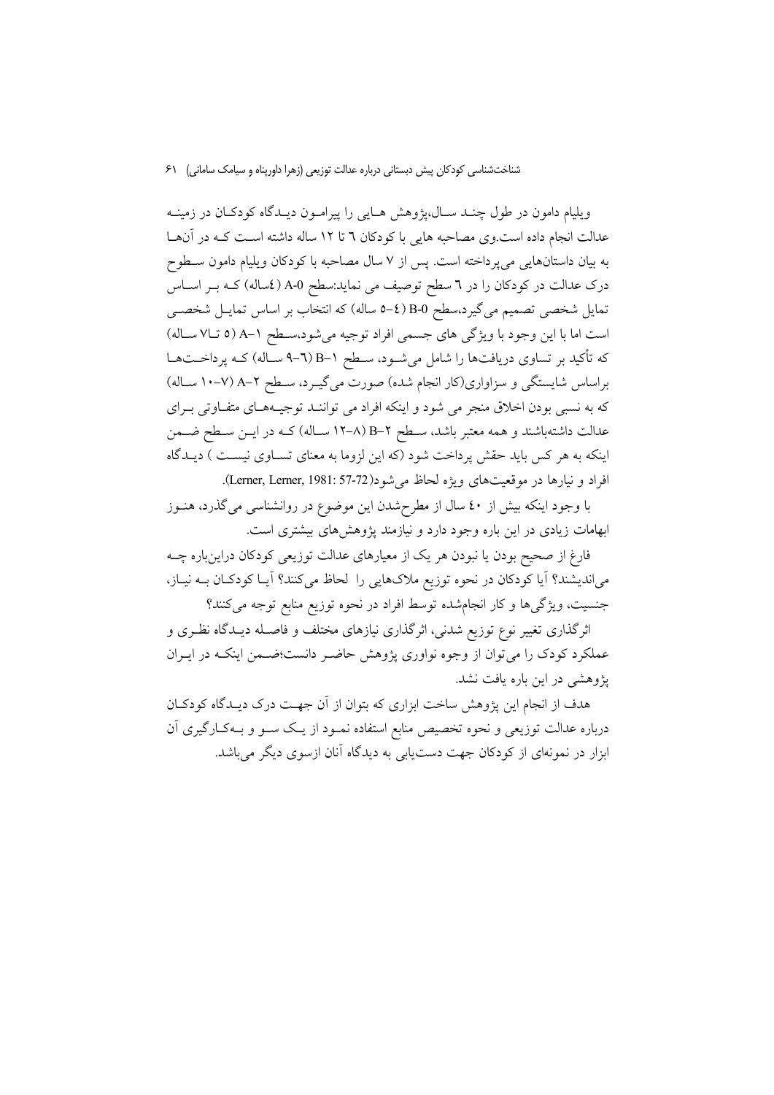ویلیام دامون در طول چنـد سـال،پژوهش هـایی را پیرامـون دیـدگاه کودکـان در زمینـه عدالت انجام داده است.وی مصاحبه هایی با کودکان ٦ تا ١٢ ساله داشته اسـت کـه در آنهـا به بيان داستانهايي مي پرداخته است. پس از ۷ سال مصاحبه با كودكان ويليام دامون سـطوح درک عدالت در کودکان را در ٦ سطح توصیف می نماید:سطح A-0 (٤ساله) کـه بــر اســاس تمایل شخصی تصمیم میگیرد،سطح B-0 (£-0 ساله) که انتخاب بر اساس تمایـل شخصــی است اما با اين وجود با ويژگي هاي جسمي افراد توجيه مي شود،سطح ١-A (٥ تـ٧١ سـاله) که تأکید بر تساوی دریافتها را شامل میشود، سطح ۱–B (٦–۹ سـاله) کـه پرداخــتهـا براساس شایستگی و سزاواری(کار انجام شده) صورت میگیرد، سطح ۲-A (۷-۱۰ سـاله) که به نسبی بودن اخلاق منجر می شود و اینکه افراد می تواننـد توجیـههـای متفـاوتی بـرای عدالت داشتهباشند و همه معتبر باشد، سـطح ۲–B (۸–۱۲ سـاله) کـه در ايــن سـطح ضــمن اینکه به هر کس باید حقش پرداخت شود (که این لزوما به معنای تسـاوی نیسـت ) دیـدگاه افراد و نيارها در موقعيتهاي ويژه لحاظ مي شود(Lerner, Lerner, 1981: 57-72).

با وجود اینکه بیش از ٤٠ سال از مطرحشدن این موضوع در روانشناسی میگذرد، هنـوز ابهامات زیادی در این باره وجود دارد و نیازمند پژوهشهای بیشتری است.

فارغ از صحیح بودن یا نبودن هر یک از معیارهای عدالت توزیعی کودکان دراینباره چــه میاندیشند؟ آیا کودکان در نحوه توزیع ملاکهایی را لحاظ میکنند؟ آیـا کودکـان بــه نیــاز، جنسیت، ویژگیها و کار انجامشده توسط افراد در نحوه توزیع منابع توجه می کنند؟

اثرگذاری تغییر نوع توزیع شدنی، اثرگذاری نیازهای مختلف و فاصـله دیـدگاه نظـری و عملکرد کودک را می توان از وجوه نواوری پژوهش حاضـر دانست؛ضـمن اینکـه در ایــران یژوهشی در این باره یافت نشد.

هدف از انجام این پژوهش ساخت ابزاری که بتوان از آن جهـت درک دیــدگاه کودکــان درباره عدالت توزیعی و نحوه تخصیص منابع استفاده نمـود از یـک سـو و بـهکـارگیری آن ابزار در نمونهای از کودکان جهت دست یابی به دیدگاه آنان ازسوی دیگر می باشد.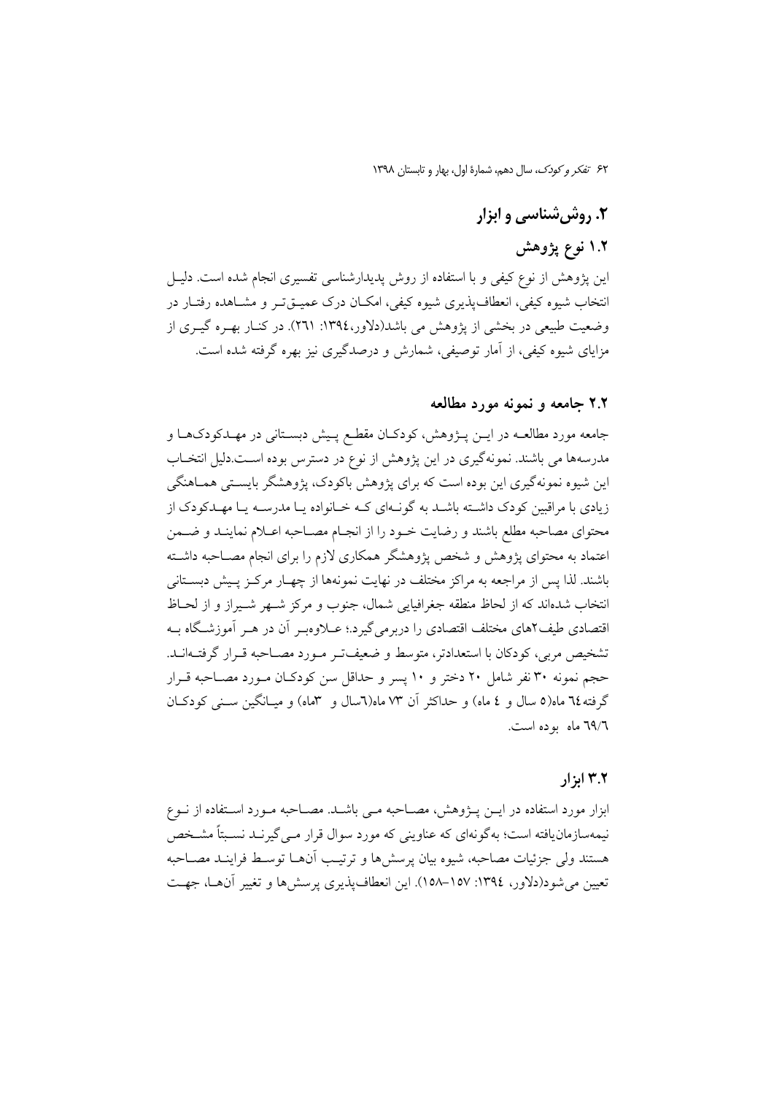# ۲. روشیشناسی و ابزار

# ۱.۲ نوع یژوهش

این پژوهش از نوع کیفی و با استفاده از روش پدیدارشناسی تفسیری انجام شده است. دلیـل انتخاب شیوه کیفی، انعطاف پذیری شیوه کیفی، امکـان درک عمیــقتـر و مشــاهده رفتــار در وضعیت طبیعی در بخشی از پژوهش می باشد(دلاور،۱۳۹٤: ۲٦۱). در کنـار بهـره گیـری از مزایای شیوه کیفی، از آمار توصیفی، شمارش و درصدگیری نیز بهره گرفته شده است.

## ۲.۲ جامعه و نمونه مورد مطالعه

جامعه مورد مطالعــه در ايــن پــژوهش، كودكــان مقطـع پــيش دبســتاني در مهــدكودكهــا و مدرسهها می باشند. نمونهگیری در این پژوهش از نوع در دسترس بوده اسـت.دلیل انتخـاب این شیوه نمونهگیری این بوده است که برای پژوهش باکودک، پژوهشگر بایستی همـاهنگی زیادی با مراقبین کودک داشته باشـد به گونـهای کـه خـانواده یـا مدرسـه یـا مهـدکودک از محتواي مصاحبه مطلع باشند و رضايت خــود را از انجــام مصــاحبه اعــلام نماينــد و ضــمن اعتماد به محتواي يژوهش و شخص يژوهشگر همكاري لازم را براي انجام مصـاحبه داشـته باشند. لذا پس از مراجعه به مراکز مختلف در نهایت نمونهها از چهبار مرکبز پیش دبستانی انتخاب شدهاند که از لحاظ منطقه جغرافیایی شمال، جنوب و مرکز شـهر شـیراز و از لحـاظ اقتصادی طیف۲های مختلف اقتصادی را دربرمی گیرد.؛ عــلاوهبـر آن در هــر آموزشـگاه بــه تشخیص مربی، کودکان با استعدادتر، متوسط و ضعیفت و مـورد مصـاحبه قـرار گرفتــهانــد. حجم نمونه ٣٠ نفر شامل ٢٠ دختر و ١٠ يسر و حداقل سن كودكـان مـورد مصـاحبه قـرار گرفته ٦٤ ماه(٥ سال و ٤ ماه) و حداكثر أن ٧٣ ماه(٦سال و ٣ماه) و ميـانگين ســني كودكـان ٦٩/٦ ماه بوده است.

# ۲.۲ ایز ار

ابزار مورد استفاده در ايــن پــژوهش، مصــاحبه مــي باشــد. مصــاحبه مــورد اســتفاده از نــوع نیمهسازمان یافته است؛ بهگو نهای که عناوینی که مورد سوال قرار مـی گیرنـد نسـبتاً مشـخص هستند ولي جزئيات مصاحبه، شيوه بيان پرسشها و ترتيب أنهـا توسـط فراينـد مصـاحبه تعیین می شود(دلاور، ١٣٩٤: ١٥٧–١٥٨). این انعطاف پذیری پرسشها و تغییر آنهـا، جهـت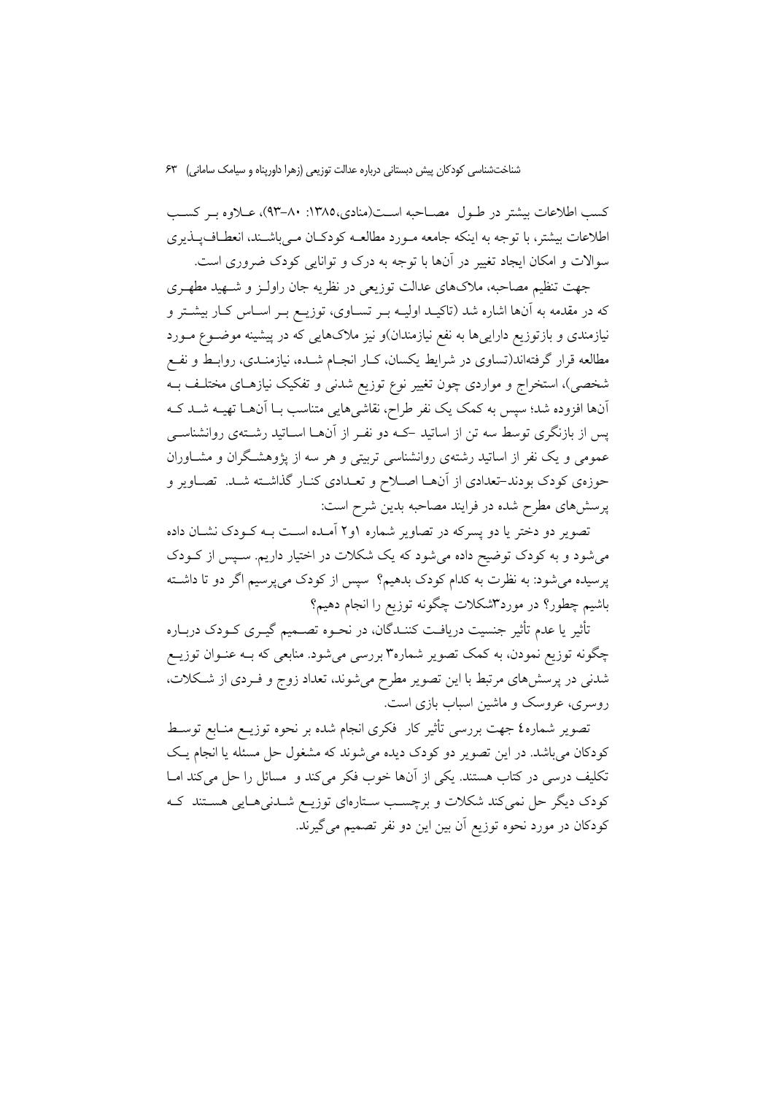کسب اطلاعات بیشتر در طـول مصـاحبه اسـت(منادی،۱۳۸۵: ۸۰-۹۳)، عــلاوه بـر کسـب اطلاعات بیشتر، با توجه به اینکه جامعه مـورد مطالعـه کودکـان مـی باشـند. انعطـاف\_پـذیری سوالات و امکان ایجاد تغییر در آنها با توجه به درک و توانایی کودک ضروری است.

.<br>جهت تنظیم مصاحبه، ملاکهای عدالت توزیعی در نظریه جان راولـز و شــهید مطهـری که در مقدمه به آنها اشاره شد (تاکیـد اولیـه بـر تســاوی، توزیــع بـر اســاس کــار بیشــتر و نیازمندی و بازتوزیع داراییها به نفع نیازمندان)و نیز ملاکهایی که در پیشینه موضــوع مــورد مطالعه قرار گرفتهاند(تساوی در شرایط یکسان، کـار انجـام شــده، نیازمنــدی، روابــط و نفــع شخصی)، استخراج و مواردی چون تغییر نوع توزیع شدنی و تفکیک نیازهـای مختلـف بــه آنها افزوده شد؛ سپس به کمک یک نفر طراح، نقاشیهایی متناسب بــا آنهــا تهیــه شــد کــه پس از بازنگری توسط سه تن از اساتید که دو نفـر از آنهــا اســاتید رشــتهی روانشناســی عمومی و یک نفر از اساتید رشتهی روانشناسی تربیتی و هر سه از پژوهشگران و مشـاوران حوزهي كودك بودند-تعدادي از آنهـا اصـلاح و تعـدادي كنـار گذاشـته شـد. تصـاوير و پرسشهای مطرح شده در فرایند مصاحبه بدین شرح است:

تصویر دو دختر یا دو پسرکه در تصاویر شماره ۱و۲ آمـده اسـت بـه کـودک نشـان داده میشود و به کودک توضیح داده میشود که یک شکلات در اختیار داریم. سـپس از کــودک پرسیده می شود: به نظرت به کدام کودک بدهیم؟ سپس از کودک میپرسیم اگر دو تا داشته باشیم چطور؟ در مورد۳شکلات چگونه توزیع را انجام دهیم؟

تأثیر یا عدم تأثیر جنسیت دریافـت کننـدگان، در نحـوه تصــمیم گیــری کــودک دربــاره چگونه توزیع نمودن، به کمک تصویر شماره۳ بررسی میشود. منابعی که بـه عنـوان توزیــع شدنی در پرسشهای مرتبط با این تصویر مطرح میشوند، تعداد زوج و فـردی از شـکلات، روسری، عروسک و ماشین اسباب بازی است.

تصویر شماره٤ جهت بررسی تأثیر کار ًفکری انجام شده بر نحوه توزیــع منــابع توســط کودکان میباشد. در این تصویر دو کودک دیده می شوند که مشغول حل مسئله یا انجام یک تکلیف درسی در کتاب هستند. یکی از آنها خوب فکر میکند و مسائل را حل میکند امـا کودک دیگر حل نمیکند شکلات و برچسب سـتارهای توزیـع شـدنی۵ـایی هسـتند کـه كودكان در مورد نحوه توزيع آن بين اين دو نفر تصميم مي گيرند.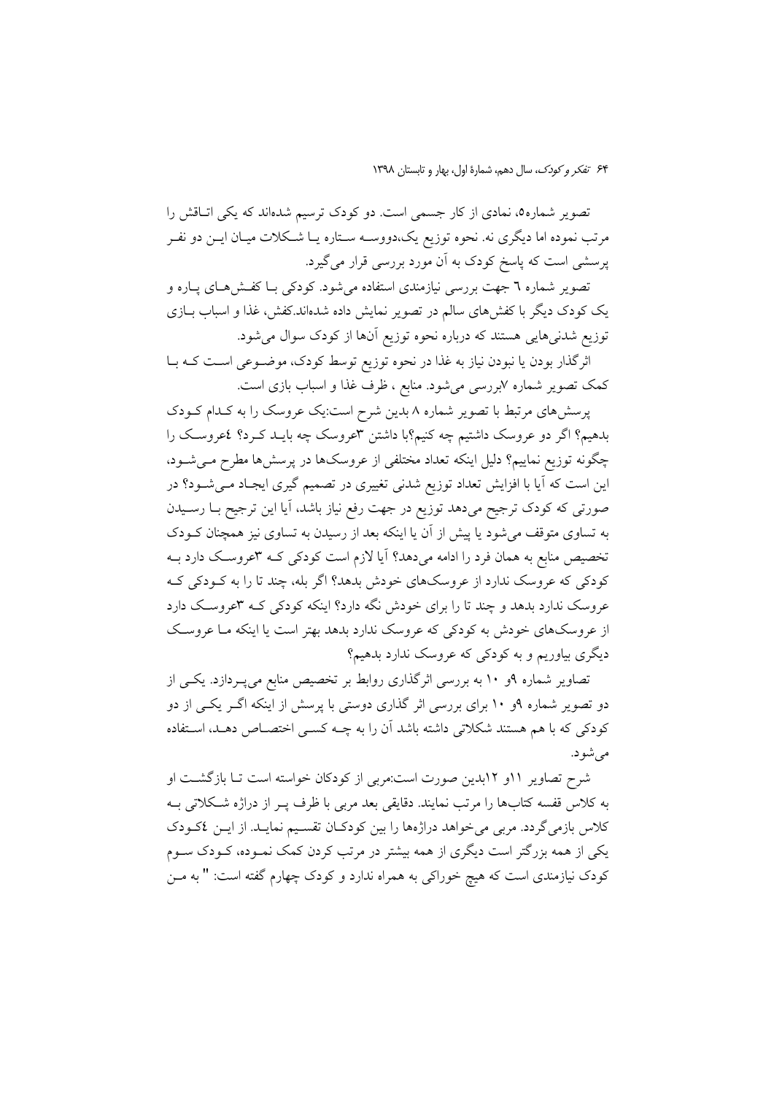تصویر شماره0، نمادی از کار جسمی است. دو کودک ترسیم شدهاند که یکی اتـاقش را مرتب نموده اما دیگری نه. نحوه توزیع یک،دووسـه سـتاره یـا شـکلات میـان ایــن دو نفــر پرسشی است که پاسخ کودک به آن مورد بررسی قرار میگیرد.

تصویر شماره ٦ جهت بررسی نیازمندی استفاده می شود. کودکی بــا کفــش۵هــای پــاره و یک کودک دیگر با کفشهای سالم در تصویر نمایش داده شدهاند.کفش، غذا و اسباب بـازی توزیع شدنیهایی هستند که درباره نحوه توزیع آنها از کودک سوال می شود.

اثرگذار بودن یا نبودن نیاز به غذا در نحوه توزیع توسط کودک، موضـوعی اسـت کـه بـا کمک تصویر شماره ۷بررسی میشود. منابع ، ظرف غذا و اسباب بازی است.

پرسشهای مرتبط با تصویر شماره ۸ بدین شرح است:یک عروسک را به کـدام کـودک بدهیم؟ اگر دو عروسک داشتیم چه کنیم؟با داشتن ۳عروسک چه بایـد کـرد؟ نمحروسـک را چگونه توزیع نماییم؟ دلیل اینکه تعداد مختلفی از عروسکها در پرسشها مطرح مـیشـود، این است که آیا با افزایش تعداد توزیع شدنی تغییری در تصمیم گیری ایجـاد مـیشــود؟ در صورتی که کودک ترجیح میدهد توزیع در جهت رفع نیاز باشد، آیا این ترجیح بــا رســیدن به تساوی متوقف می شود یا پیش از آن یا اینکه بعد از رسیدن به تساوی نیز همچنان کـودک تخصیص منابع به همان فرد را ادامه میدهد؟ آیا لازم است کودکی کـه ۳عروسـک دارد بـه کودکی که عروسک ندارد از عروسکهای خودش بدهد؟ اگر بله، چند تا را به کـودکی کـه عروسک ندارد بدهد و چند تا را برای خودش نگه دارد؟ اینکه کودکی کـه ۳عروسـک دارد از عروسکهای خودش به کودکی که عروسک ندارد بدهد بهتر است یا اینکه مـا عروسـک دیگری بیاوریم و به کودکی که عروسک ندارد بدهیم؟

تصاویر شماره ۹و ۱۰ به بررسی اثرگذاری روابط بر تخصیص منابع میپـردازد. یکــی از دو تصویر شماره ۹و ۱۰ برای بررسی اثر گذاری دوستی با پرسش از اینکه اگـر یکـی از دو کودکی که با هم هستند شکلاتی داشته باشد آن را به چـه کسـی اختصـاص دهـد، اسـتفاده می شو د.

شرح تصاویر ۱۱و ۱۲بدین صورت است:مربی از کودکان خواسته است تــا بازگشــت او به كلاس قفسه كتابها را مرتب نمايند. دقايقي بعد مربي با ظرف يــر از دراژه شــكلاتي بــه كلاس بازمي گردد. مربي مي خواهد دراژهها را بين كودكـان تقسـيم نمايـد. از ايـن ٤كـودك یکی از همه بزرگتر است دیگری از همه بیشتر در مرتب کردن کمک نمـوده، کـودک سـوم کودک نیازمندی است که هیچ خوراکی به همراه ندارد و کودک چهارم گفته است: " به مــن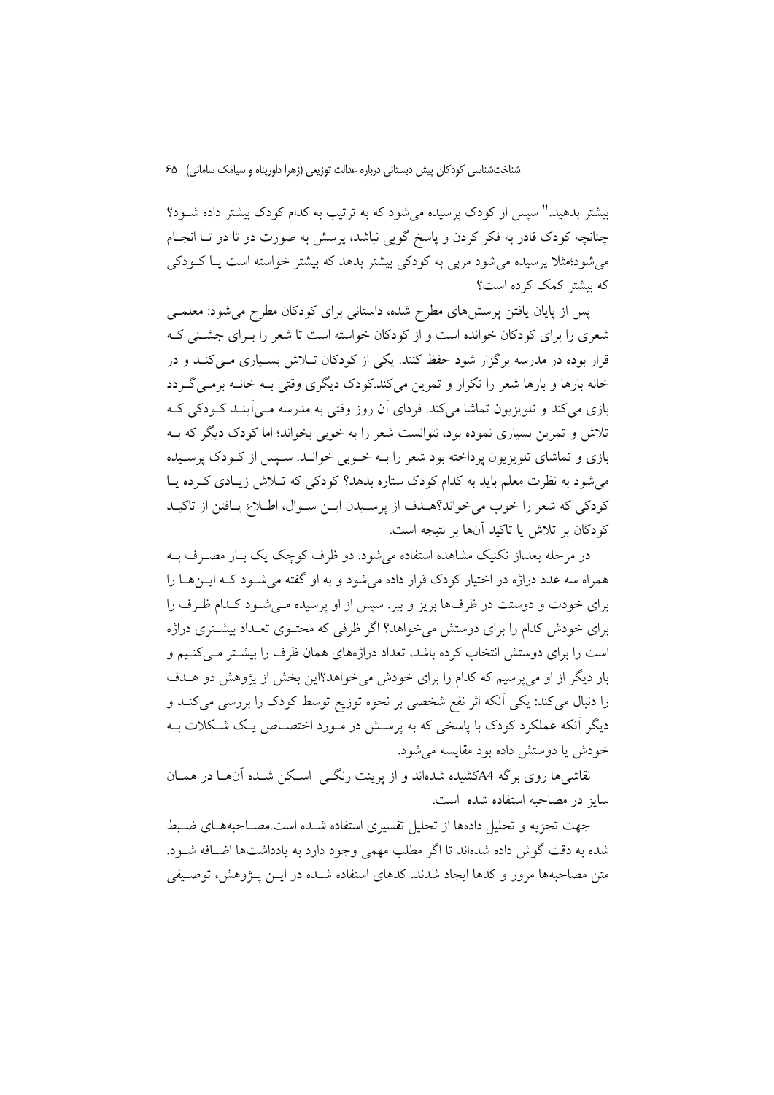بیشتر بدهید." سیس از کودک پرسیده می شود که به ترتیب به کدام کودک بیشتر داده شـود؟ چنانچه کودک قادر به فکر کردن و پاسخ گویی نباشد، پرسش به صورت دو تا دو تـا انجـام میشود؛مثلا پرسیده می شود مربی به کودکی بیشتر بدهد که بیشتر خواسته است یـا کــودکی که بیشتر کمک کرده است؟

پس از پایان یافتن پرسشهای مطرح شده، داستانی برای کودکان مطرح می شود: معلمی شعری را برای کودکان خوانده است و از کودکان خواسته است تا شعر را بـرای جشـنی کـه قرار بوده در مدرسه برگزار شود حفظ کنند. یکی از کودکان ت<mark>ـلاش بسـیاری مـی</mark>کنــد و در خانه بارها و بارها شعر را تکرار و تمرین میکند.کودک دیگری وقتی بـه خانــه برمــی گــردد بازی می کند و تلویزیون تماشا می کند. فردای آن روز وقتی به مدرسه مـی آینـد کــودکی کــه تلاش و تمرین بسیاری نموده بود، نتوانست شعر را به خوبی بخواند؛ اما کودک دیگر که بــه بازی و تماشای تلویزیون پرداخته بود شعر را بـه خــوبی خوانــد. ســیس از کــودک پرســیده میشود به نظرت معلم باید به کدام کودک ستاره بدهد؟ کودکی که تـلاش زیـادی کـرده یـا كودكي كه شعر را خوب مي خواند؟هـدف از پرسـيدن ايـن سـوال، اطـلاع يـافتن از تاكيـد كودكان بر تلاش يا تاكيد آنها بر نتيجه است.

در مرحله بعد،از تکنیک مشاهده استفاده میشود. دو ظرف کوچک یک بـار مصـرف بــه همراه سه عدد دراژه در اختیار کودک قرار داده می شود و به او گفته می شـود کـه ایـن هــا را برای خودت و دوستت در ظرفها بریز و ببر. سپس از او پرسیده مـیشـود کـدام ظـرف را برای خودش کدام را برای دوستش می خواهد؟ اگر ظرفی که محتـوی تعـداد بیشـتری دراژه است را برای دوستش انتخاب کرده باشد، تعداد دراژههای همان ظرف را بیشتر مـیکنـیم و بار دیگر از او میپرسیم که کدام را برای خودش میخواهد؟این بخش از پژوهش دو هــدف را دنبال میکند: یکی اَنکه اثر نفع شخصی بر نحوه توزیع توسط کودک را بررسی میکنـد و دیگر آنکه عملکرد کودک با پاسخی که به پرسـش در مـورد اختصـاص یـک شـکلات بـه خودش یا دوستش داده بود مقایسه می شود.

نقاشه ها روی برگه A4کشیده شدهاند و از برینت رنگس اسکن شیده آنهیا در همیان سایز در مصاحبه استفاده شده است.

جهت تجزیه و تحلیل دادهها از تحلیل تفسیری استفاده شــده است.مصــاحبههـای ضـبط شده به دقت گوش داده شدهاند تا اگر مطلب مهمی وجود دارد به یادداشتها اضافه شـود. متن مصاحبهها مرور و كدها ايجاد شدند. كدهاي استفاده شـده در ايــن پــژوهش، توصـيفي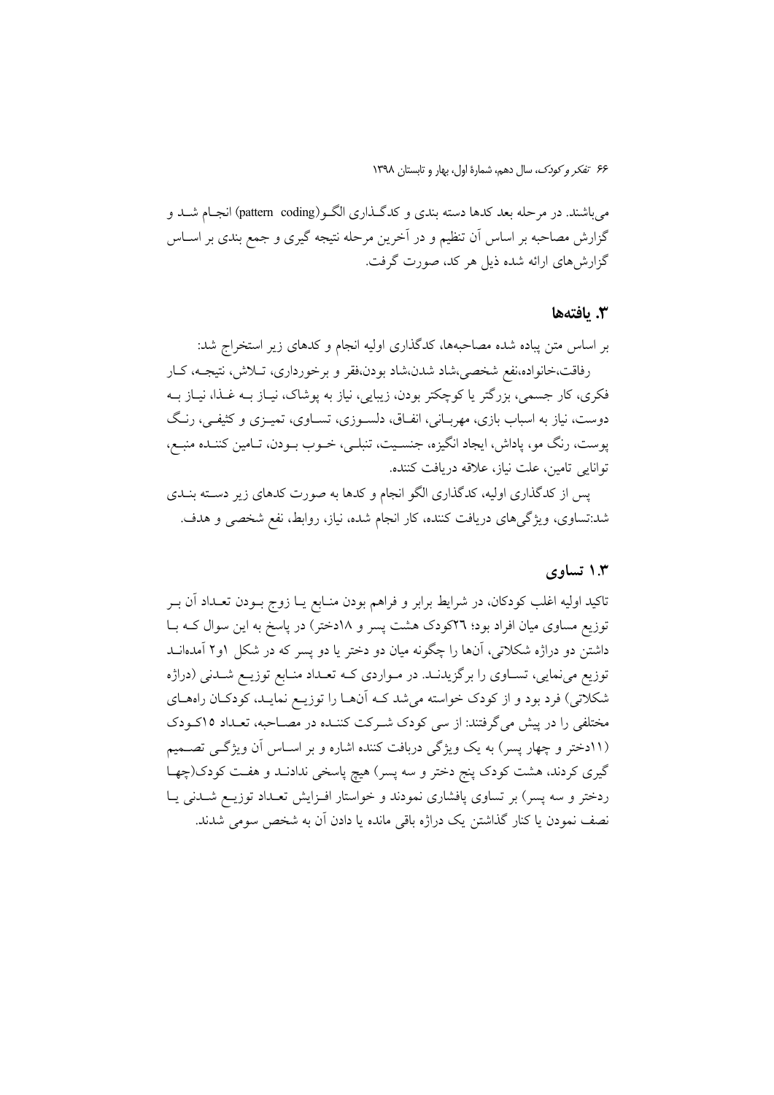می باشند. در مرحله بعد کدها دسته بندی و کدگـذاری الگـو(pattern coding) انجـام شـد و گزارش مصاحبه بر اساس آن تنظیم و در آخرین مرحله نتیجه گیری و جمع بندی بر اســاس گزارشهای ارائه شده ذیل هر کد، صورت گرفت.

#### 3. يافتەھا

بر اساس متن پباده شده مصاحبهها، کدگذاری اولیه انجام و کدهای زیر استخراج شد: رفاقت،خانواده،نفع شخصی،شاد شدن،شاد بودن،فقر و برخورداری، تـلاش، نتیجـه، کـار فکری، کار جسمی، بزرگتر یا کوچکتر بودن، زیبایی، نیاز به پوشاک، نیـاز بــه غـذا، نیــاز بــه دوست، نیاز به اسباب بازی، مهربـانی، انفـاق، دلسـوزی، تســاوی، تمیــزی و کثیفــی، رنـگ پوست، رنگ مو، پاداش، ایجاد انگیزه، جنسـیت، تنبلـی، خــوب بــودن، تــامین کننــده منبــع، توانايي تامين، علت نياز، علاقه دريافت كننده.

پس از کدگذاری اولیه، کدگذاری الگو انجام و کدها به صورت کدهای زیر دسته بنـدی شد:تساوي، ويژگي هاي دريافت كننده، كار انجام شده، نياز، روابط، نفع شخصي و هدف.

### ۱.۳ تساوی

تاکید اولیه اغلب کودکان، در شرایط برابر و فراهم بودن منـابع یــا زوج بــودن تعــداد آن بــر توزیع مساوی میان افراد بود؛ ٢٦کودک هشت پسر و ١٨دختر) در پاسخ به این سوال کـه بـا داشتن دو دراژه شکلاتی، آنها را چگونه میان دو دختر یا دو پسر که در شکل ۱و۲ آمدهانــد توزیع می نمایی، تسـاوی را بر گزیدنـد. در مـواردی کـه تعـداد منـابع توزیــع شـدنی (دراژه شکلاتی) فرد بود و از کودک خواسته میشد کـه آنهـا را توزیـع نمایـد، کودکـان راههـای مختلفی را در پیش میگرفتند: از سی کودک شـرکت کننـده در مصـاحبه، تعـداد ۱۵کـودک (۱۱دختر و چهار پسر) به یک ویژگی دربافت کننده اشاره و بر اسـاس آن ویژگـی تصـمیم گیری کردند، هشت کودک پنج دختر و سه پسر) هیچ پاسخی ندادنــد و هفــت کودک(چهــا ردختر و سه پسر) بر تساوی پافشاری نمودند و خواستار افـزایش تعـداد توزیـع شـدنی یـا نصف نمودن یا کنار گذاشتن یک دراژه باقی مانده یا دادن آن به شخص سومی شدند.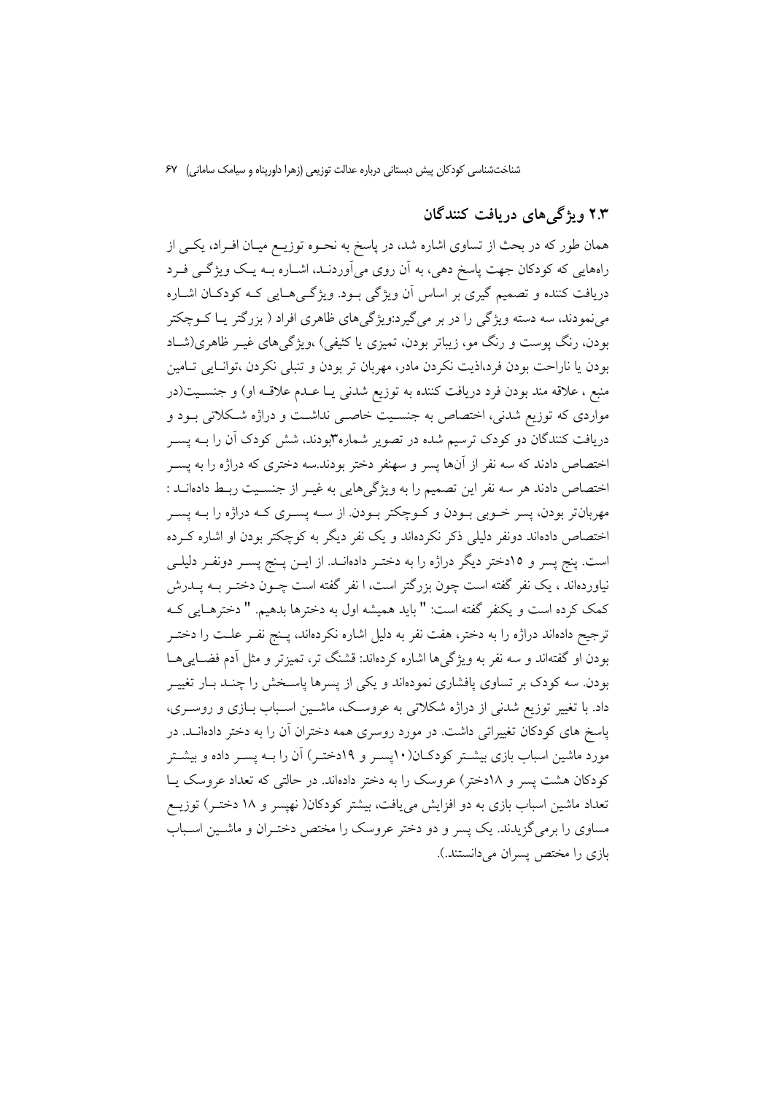# ۲.۳ ویژگی های دریافت کنندگان

همان طور که در بحث از تساوی اشاره شد، در پاسخ به نحــوه توزیــع میــان افــراد، یکــی از راههایی که کودکان جهت پاسخ دهی، به آن روی میآوردنـد، اشـاره بـه یـک ویژگـی فـرد دریافت کننده و تصمیم گیری بر اساس آن ویژگی بـود. ویژگـی۵حـایی کـه کودکـان اشــاره مي نمودند، سه دسته ويژگي را در بر مي گيرد:ويژگي هاي ظاهري افراد ( بزرگتر يــا كــوچكتر بودن، رنگ پوست و رنگ مو، زیباتر بودن، تمیزی یا کثیفی) ،ویژگیهای غیـر ظاهری(شـاد بودن يا ناراحت بودن فرد،اذيت نكردن مادر، مهربان تر بودن و تنبلي نكردن ،توانـايي تـامين منبع ، علاقه مند بودن فرد دریافت کننده به توزیع شدنی یـا عـدم علاقـه او) و جنسـیت(در مواردی که توزیع شدنی، اختصاص به جنسـیت خاصـی نداشـت و دراژه شـکلاتی بــود و دریافت کنندگان دو کودک ترسیم شده در تصویر شماره۳بودند، شش کودک آن را بــه پســر اختصاص دادند که سه نفر از آنها پسر و سهنفر دختر بودند.سه دختری که دراژه را به پسـر اختصاص دادند هر سه نفر این تصمیم را به ویژگیهایی به غیـر از جنسـیت ربـط دادهانـد : مهربانتر بودن، پسر خــوبی بــودن و کــوچکتر بــودن از ســه پســری کــه دراژه را بــه پســر اختصاص دادهاند دونفر دلیلی ذکر نکردهاند و یک نفر دیگر به کوچکتر بودن او اشاره کـرده است. پنج پسر و ۱۵دختر دیگر دراژه را به دختـر دادهانـد. از ایــن پـنج پســر دونفـر دلیلــی نیاوردهاند ، یک نفر گفته است چون بزرگتر است، ا نفر گفته است چــون دختــر بــه پـــدرش كمك كرده است و يكنفر گفته است: " بايد هميشه اول به دخترها بدهيم. " دخترهـايي كـه ترجيح دادهاند دراژه را به دختر، هفت نفر به دليل اشاره نكردهاند، پـنج نفــر علــت را دختــر بودن او گفتهاند و سه نفر به ویژگیها اشاره کردهاند: قشنگ تر، تمیزتر و مثل آدم فضاییها بودن. سه کودک بر تساوی پافشاری نمودهاند و یکی از پسرها پاسـخش را چنـد بـار تغییـر داد. با تغییر توزیع شدنی از دراژه شکلاتی به عروسک، ماشـین اسـباب بــازی و روســری، پاسخ های کودکان تغییراتی داشت. در مورد روسری همه دختران آن را به دختر دادهانــد. در مورد ماشین اسباب بازی بیشــتر کودکــان(۱۰پســر و ۱۹دختــر) آن را بــه پســر داده و بیشــتر کودکان هشت پسر و ۱۸دختر) عروسک را به دختر دادهاند. در حالتی که تعداد عروسک پـا تعداد ماشین اسباب بازی به دو افزایش می یافت، بیشتر کودکان( نهیسر و ۱۸ دختـر) توزیــع مساوی را برمیگزیدند. یک پسر و دو دختر عروسک را مختص دختـران و ماشـین اسـباب بازی را مختص پسران می دانستند.).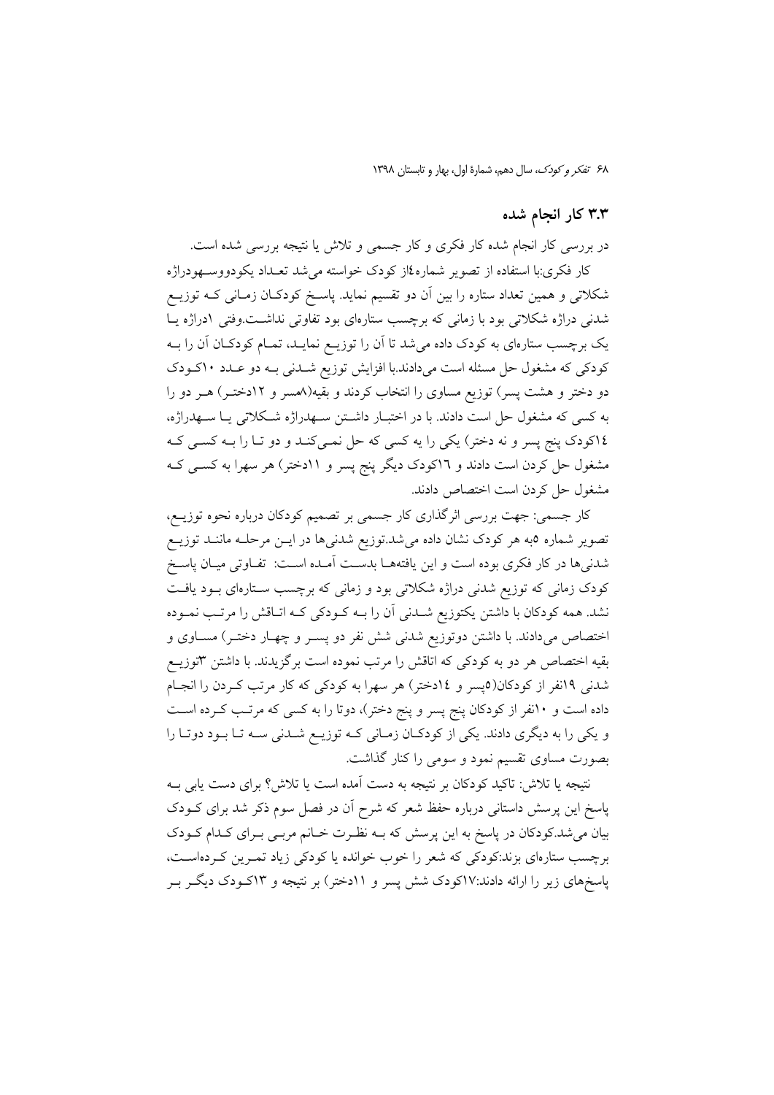# ۳.۳ کار انجام شده

در بررسی کار انجام شده کار فکری و کار جسمی و تلاش یا نتیجه بررسی شده است. کار فکری:با استفاده از تصویر شماره٤از کودک خواسته میشد تعـداد یکودووسـهودراژه شکلاتی و همین تعداد ستاره را بین آن دو تقسیم نماید. پاسـخ کودکـان زمـانی کـه توزیـع شدنی دراژه شکلاتی بود با زمانی که برچسب ستارهای بود تفاوتی نداشت.وفتی ادراژه یـا یک برچسب ستارهای به کودک داده میشد تا آن را توزیـع نمایـد، تمـام کودکـان آن را بــه کودکی که مشغول حل مسئله است میدادند.با افزایش توزیع شـدنی بـه دو عـدد ۱۰کـودک دو دختر و هشت پسر) توزیع مساوی را انتخاب کردند و بقیه(۸مسر و ۱۲دختـر) هـر دو را به کسی که مشغول حل است دادند. با در اختبـار داشـتن سـهدراژه شـکلاتی یـا سـهدراژه، ١٤كودك پنج پسر و نه دختر) يكي را يه كسي كه حل نمـيكنـد و دو تـا را بــه كسـي كــه مشغول حل کردن است دادند و ۱۲کودک دیگر پنج پسر و ۱۱دختر) هر سهرا به کســی کــه مشغول حل كردن است اختصاص دادند.

کار جسمی: جهت بررسی اثرگذاری کار جسمی بر تصمیم کودکان درباره نحوه توزیـع، تصویر شماره ٥به هر کودک نشان داده میشد.توزیع شدنیها در ایــن مرحلــه مانــَـد توزیــع .<br>شدنیها در کار فکری بوده است و این یافتههــا بدســت اَمــده اســت: تفــاوتی میــان پاســــتم کودک زمانی که توزیع شدنی دراژه شکلاتی بود و زمانی که برچسب ستارهای بود یافت نشد. همه کودکان با داشتن یکتوزیع شــدنی آن را بــه کــودکی کــه اتــاقش را مرتــب نمــوده اختصاص میدادند. با داشتن دوتوزیع شدنی شش نفر دو پسـر و چهـار دختـر) مسـاوی و بقیه اختصاص هر دو به کودکی که اتاقش را مرتب نموده است برگزیدند. با داشتن ۳توزیــع شدنی ۱۹نفر از کودکان(۵پسر و ۱٤دختر) هر سهرا به کودکی که کار مرتب کـردن را انجـام داده است و ۱۰نفر از کودکان پنج پسر و پنج دختر)، دوتا را به کسی که مرتـب کــرده اســت و یکی را به دیگری دادند. یکی از کودکان زمانی که توزیـع شـدنی سـه تـا بـود دوتـا را بصورت مساوی تقسیم نمود و سومی را کنار گذاشت.

نتیجه یا تلاش: تاکید کودکان بر نتیجه به دست آمده است یا تلاش؟ برای دست یابی بــه پاسخ این پرسش داستانی درباره حفظ شعر که شرح آن در فصل سوم ذکر شد برای کــودک بیان میشد.کودکان در پاسخ به این پرسش که بــه نظـرت خــانم مربــی بــرای کــدام کــودک برچسب ستارهای بزند:کودکی که شعر را خوب خوانده یا کودکی زیاد تمـرین کـردهاسـت، پاسخهای زیر را ارائه دادند:۱۷کودک شش پسر و ۱۱دختر) بر نتیجه و ۱۳کـودک دیگــر بــر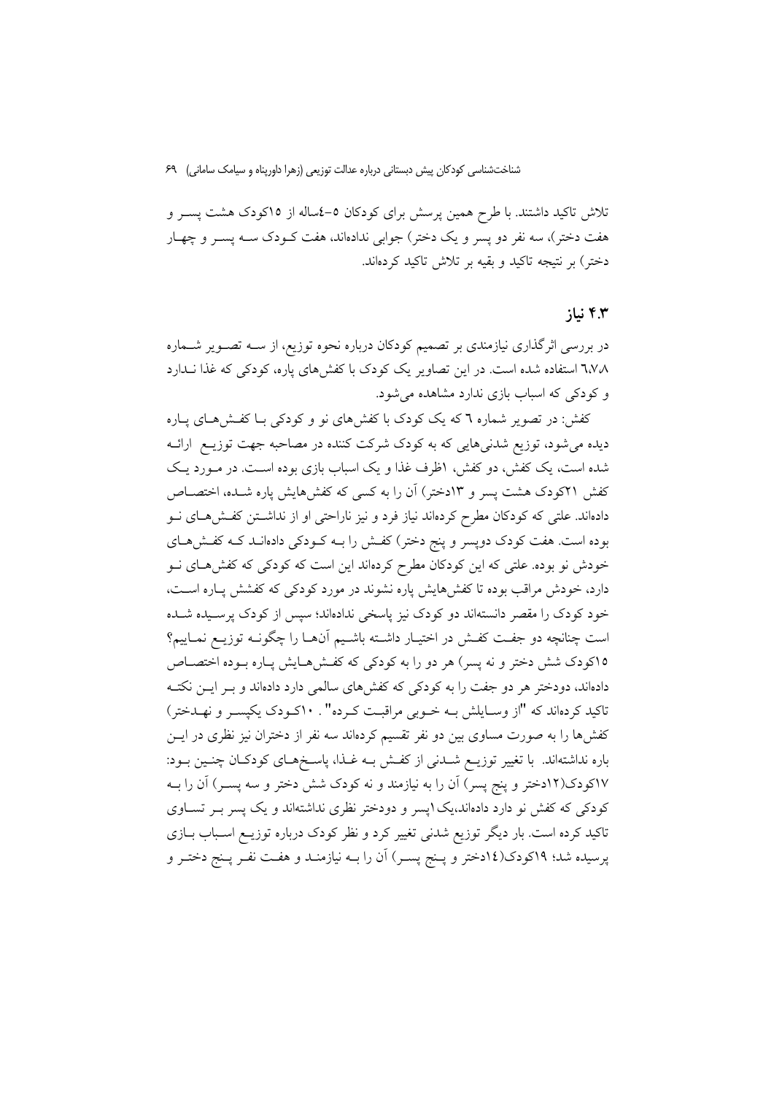تلاش تاکید داشتند. با طرح همین پرسش برای کودکان ٥–٤ساله از ١٥کودک هشت پسـر و هفت دختر)، سه نفر دو پسر و یک دختر) جوابی ندادهاند، هفت کــودک ســه پســر و چهــار دختر) بر نتيجه تاكيد و بقيه بر تلاش تاكيد كردهاند.

#### ۴.۳ نیا;

در بررسی اثرگذاری نیازمندی بر تصمیم کودکان درباره نحوه توزیع، از ســه تصــویر شــماره ٦،٧٨ استفاده شده است. در این تصاویر یک کودک با کفشهای یاره، کودکی که غذا نـدارد و کودکی که اسباب بازی ندارد مشاهده می شود.

کفش: در تصویر شماره ٦ که یک کودک با کفشهای نو و کودکی بـا کفـشهـای پـاره دیده میشود، توزیع شدنیهایی که به کودک شرکت کننده در مصاحبه جهت توزیـع ارائـه شده است، یک کفش، دو کفش، اظرف غذا و یک اسباب بازی بوده است. در مـورد یـک كفش ٢١كودك هشت يسر و ١٣دختر) أن را به كسي كه كفش هايش ياره شـده، اختصــاص دادهاند. علتی که کودکان مطرح کردهاند نیاز فرد و نیز ناراحتی او از نداشـتن کفـش۵ـای نــو بوده است. هفت کودک دوپسر و پنج دختر) کفش را بـه کـودکی دادهانـد کـه کفـش۵حـای خودش نو بوده. علتی که این کودکان مطرح کردهاند این است که کودکی که کفشهای نـو دارد، خودش مراقب بوده تا کفشهایش پاره نشوند در مورد کودکی که کفشش پـاره اسـت، خود کودک را مقصر دانستهاند دو کودک نیز پاسخی ندادهاند؛ سپس از کودک پرسـیده شــده است چنانچه دو جفت کفـش در اختیـار داشـته باشـیم آنهـا را چگونــه توزیــع نمـاییم؟ ١٥كودك شش دختر و نه پسر) هر دو را به كودكي كه كفـش٨مـايش يـاره بـوده اختصـاص دادهاند، دودختر هر دو جفت را به کودکی که کفش های سالمی دارد دادهاند و بـر ایــن نکتــه .<br>تاکید کردهاند که "از وسـایلش بــه خــوبی مراقبــت کــرده" . ۱۰کــودک یکپســر و نهــدختر) کفشها را به صورت مساوی بین دو نفر تقسیم کردهاند سه نفر از دختران نیز نظری در ایــن باره نداشتهاند. با تغییر توزیــع شــدنی از کفــش بــه غــذا، پاســخهــای کودکــان چنــین بــود: ۱۷کودک(۱۲دختر و پنج پسر) آن را به نیازمند و نه کودک شش دختر و سه پسـر) آن را بــه کودکی که کفش نو دارد دادهاند،یک اپسر و دودختر نظری نداشتهاند و یک پسر بـر تسـاوی تاکید کرده است. بار دیگر توزیع شدنی تغییر کرد و نظر کودک درباره توزیـع اسـباب بــازی پرسیده شد؛ ۱۹کودک(۱٤دختر و پـنج پسـر) اَن را بــه نیازمنــد و هفــت نفــر پـنج دختــر و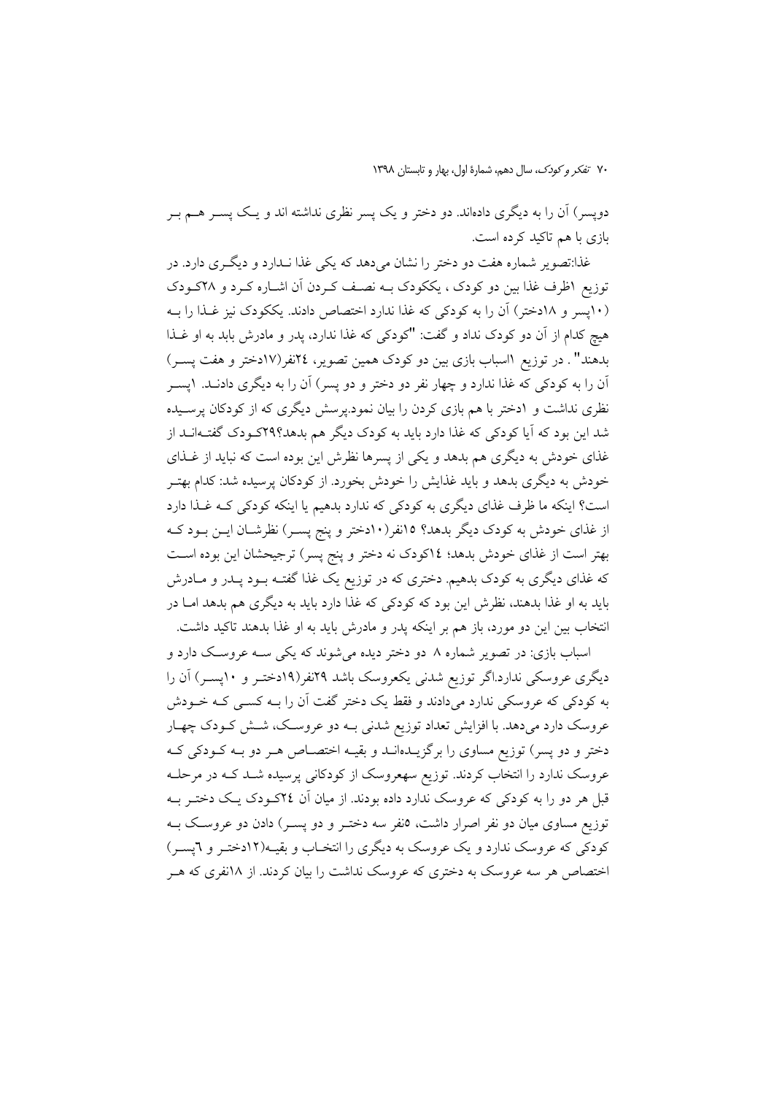دویسر) آن را به دیگری دادماند. دو دختر و یک پسر نظری نداشته اند و یـک پســر هــم بــر بازی با هم تاکید کرده است.

غذا:تصویر شماره هفت دو دختر را نشان می دهد که یکی غذا نـدارد و دیگـری دارد. در توزیع اظرف غذا بین دو کودک ، یککودک بــه نصـف کـردن اَن اشــاره کــرد و ۲۸کــودک (١٠يسر و ١٨دختر) أن را به كودكي كه غذا ندارد اختصاص دادند. يككودك نيز غـذا را بــه هيچ كدام از آن دو كودك نداد و گفت: "كودكي كه غذا ندارد، يدر و مادرش بابد به او غـذا بدهند". در توزیع ااسباب بازی بین دو کودک همین تصویر، ٢٤نفر(١٧دختر و هفت پسـر) آن را به کودکی که غذا ندارد و چهار نفر دو دختر و دو پسر) آن را به دیگری دادنــد. ۱یســر نظری نداشت و ۱دختر با هم بازی کردن را بیان نمود.پرسش دیگری که از کودکان پرسـیده شد این بود که آیا کودکی که غذا دارد باید به کودک دیگر هم بدهد؟٢٩کـودک گفتـهانــد از غذای خودش به دیگری هم بدهد و یکی از پسرها نظرش این بوده است که نباید از غـذای خودش به دیگری بدهد و باید غذایش را خودش بخورد. از کودکان پرسیده شد: کدام بهتـر است؟ اینکه ما ظرف غذای دیگری به کودکی که ندارد بدهیم یا اینکه کودکی کـه غـذا دارد از غذای خودش به کودک دیگر بدهد؟ ۱۵نفر(۱۰دختر و پنج پسـر) نظرشـان ایــن بــود کــه بهتر است از غذای خودش بدهد؛ ١٤كودك نه دختر و پنج پسر) ترجيحشان اين بوده است که غذای دیگری به کودک بدهیم. دختری که در توزیع یک غذا گفتـه بــود پــدر و مــادرش باید به او غذا بدهند، نظرش این بود که کودکی که غذا دارد باید به دیگری هم بدهد امـا در انتخاب بین این دو مورد، باز هم بر اینکه پدر و مادرش باید به او غذا بدهند تاکید داشت.

اسباب بازی: در تصویر شماره ۸ دو دختر دیده می شوند که یکی سـه عروسـک دارد و دیگری عروسکی ندارد.اگر توزیع شدنی یکعروسک باشد ۲۹نفر(۱۹دختـر و ۱۰پسـر) آن را به کودکی که عروسکی ندارد میدادند و فقط یک دختر گفت آن را بـه کسـی کـه خــودش عروسک دارد میدهد. با افزایش تعداد توزیع شدنی بــه دو عروســک، شــش کــودک چهــار دختر و دو پسر) توزیع مساوی را برگزیــدهانــد و بقیــه اختصــاص هــر دو بــه کــودکی کــه عروسک ندارد را انتخاب کردند. توزیع سهعروسک از کودکانی پرسیده شـد کـه در مرحلـه قبل هر دو را به کودکی که عروسک ندارد داده بودند. از میان آن ٢٤کـودک یـک دختـر بــه توزیع مساوی میان دو نفر اصرار داشت، ٥نفر سه دختـر و دو پســر) دادن دو عروسـک بــه کودکی که عروسک ندارد و یک عروسک به دیگری را انتخـاب و بقیـه(١٢دختـر و ٦یسـر) اختصاص هر سه عروسک به دختری که عروسک نداشت را بیان کردند. از ۱۸نفری که هـر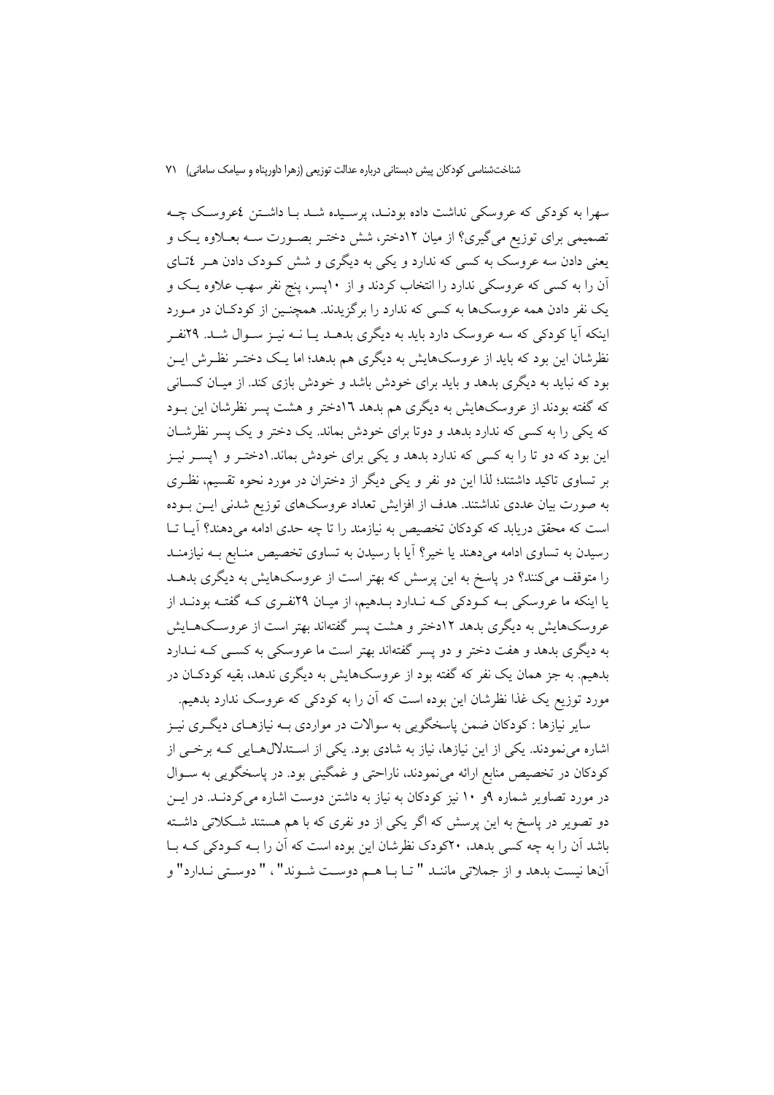سهرا به کودکی که عروسکی نداشت داده بودنـد، پرسـیده شـد بـا داشـتن ٤عروسـک چـه تصمیمی برای توزیع میگیری؟ از میان ۱۲دختر، شش دختـر بصـورت سـه بعـلاوه یـک و یعنی دادن سه عروسک به کسی که ندارد و یکی به دیگری و شش کـودک دادن هـر ٤تـای آن را به کسی که عروسکی ندارد را انتخاب کردند و از ۱۰پسر، پنج نفر سهب علاوه یک و یک نفر دادن همه عروسکها به کسی که ندارد را برگزیدند. همچنـین از کودکـان در مـورد اینکه آیا کودکی که سه عروسک دارد باید به دیگری بدهـد یـا نــه نیـز ســوال شــد. ۲۹نفـر نظرشان این بود که باید از عروسکهایش به دیگری هم بدهد؛ اما یک دختـر نظـرش ایـن بود که نباید به دیگری بدهد و باید برای خودش باشد و خودش بازی کند. از میـان کســانی که گفته بودند از عروسکهایش به دیگری هم بدهد ۱۲دختر و هشت پسر نظرشان این بـود که یکی را به کسی که ندارد بدهد و دوتا برای خودش بماند. یک دختر و یک پسر نظرشان این بود که دو تا را به کسی که ندارد بدهد و یکی برای خودش بماند. ۱دختـر و ۱پسـر نیـز بر تساوی تاکید داشتند؛ لذا این دو نفر و یکی دیگر از دختران در مورد نحوه تقسیم، نظری به صورت بیان عددی نداشتند. هدف از افزایش تعداد عروسکهای توزیع شدنی ایــن بــوده است که محقق دریابد که کودکان تخصیص به نیازمند را تا چه حدی ادامه می دهند؟ آیــا تــا رسیدن به تساوی ادامه میدهند یا خیر؟ آیا با رسیدن به تساوی تخصیص منـابع بــه نیازمنــد را متوقف می کنند؟ در پاسخ به این پرسش که بهتر است از عروسکهایش به دیگری بدهــد یا اینکه ما عروسکی بـه کـودکی کـه نـدارد بـدهیم، از میـان ۲۹نفـری کـه گفتـه بودنـد از عروسکهایش به دیگری بدهد ۱۲دختر و هشت پسر گفتهاند بهتر است از عروسکهـایش به دیگری بدهد و هفت دختر و دو پسر گفتهاند بهتر است ما عروسکی به کسبی کـه نــدارد بدهیم. به جز همان یک نفر که گفته بود از عروسکهایش به دیگری ندهد، بقیه کودکـان در مورد توزیع یک غذا نظرشان این بوده است که آن را به کودکی که عروسک ندارد بدهیم.

سایر نیازها : کودکان ضمن پاسخگویی به سوالات در مواردی بـه نیازهـای دیگـری نیـز اشاره می نمودند. یکی از این نیازها، نیاز به شادی بود. یکی از استدلالهایی کـه برخـی از کودکان در تخصیص منابع ارائه می نمودند، ناراحتی و غمگینی بود. در پاسخگویی به سـوال در مورد تصاویر شماره ۹و ۱۰ نیز کودکان به نیاز به داشتن دوست اشاره میکردنـد. در ایــن دو تصویر در پاسخ به این پرسش که اگر یکی از دو نفری که با هم هستند شـکلاتی داشـته باشد آن را به چه کسی بدهد، ۲۰کودک نظرشان این بوده است که آن را بـه کـودکی کـه بـا آنها نيست بدهد و از جملاتي ماننـد " تـا بـا هـم دوسـت شـوند"، " دوسـتي نـدارد" و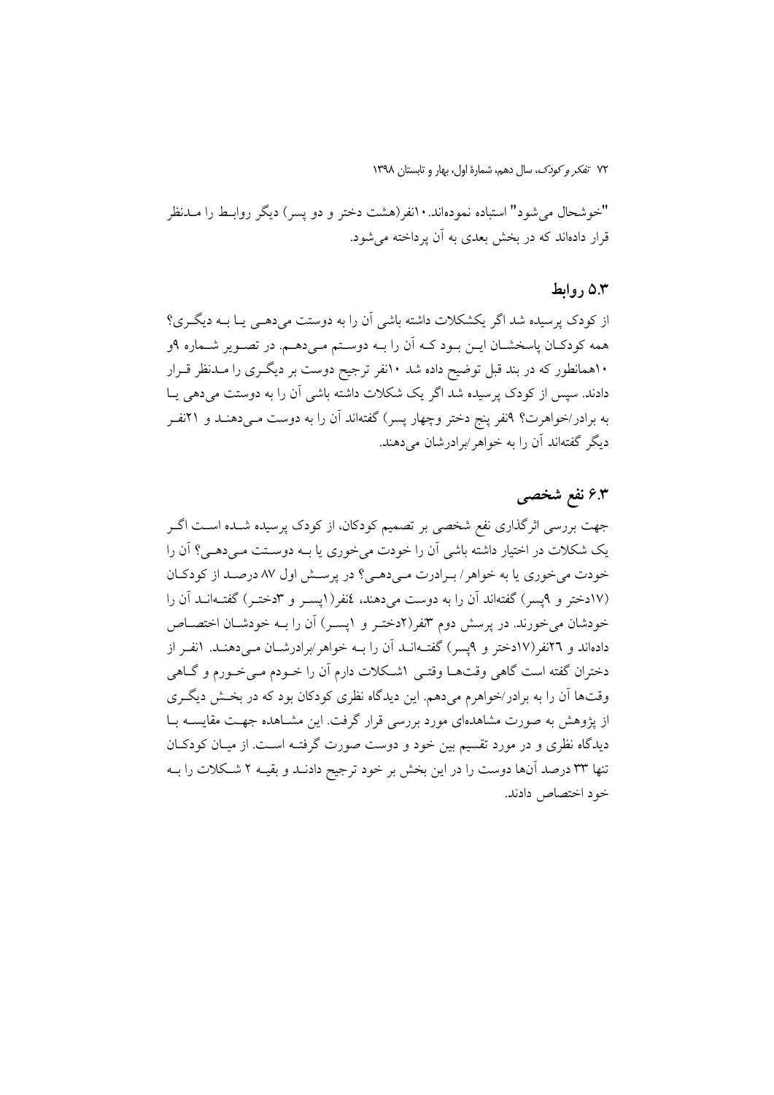"خوشحال می شود" استباده نمودهاند. ۱۰نفر(هشت دختر و دو پسر) دیگر روابـط را مــدنظر قرار دادهاند که در بخش بعدی به آن برداخته می شود.

#### ۵.۳ روابط

از کودک پرسیده شد اگر یکشکلات داشته باشی آن را به دوستت می دهمی پا بـه دیگـری؟ همه کودکـان پاسخشـان ايــن بــود کــه اَن را بــه دوســتم مــىدهــم. در تصــوير شــماره ۹و ۱۰همانطور که در بند قبل توضیح داده شد ۱۰نفر ترجیح دوست بر دیگـری را مــدنظر قــرار دادند. سپس از کودک پرسیده شد اگر یک شکلات داشته باشی آن را به دوستت میدهی یـا به برادر/خواهرت؟ ۹نفر ينج دختر وچهار يسر) گفتهاند آن را به دوست مـىدهنــد و ۲۱نفــر دیگر گفتهاند آن را به خواهر ⁄برادرشان می دهند.

# ۶.۳ نفع شخصی

جهت بررسی اثرگذاری نفع شخصی بر تصمیم کودکان، از کودک پرسیده شـده اسـت اگـر یک شکلات در اختیار داشته باشی آن را خودت میخوری یا بـه دوسـتت مـیدهـی؟ آن را خودت می خوری یا به خواهر / برادرت می دهی؟ در پرسش اول ۸۷ درصد از کودکان (١٧دختر و ٩يسر) گفتهاند آن را به دوست مي دهند، ٤نفر (١يسـر و ٣دختـر) گفتـهانــد آن را خودشان می خورند. در پرسش دوم ۳نفر(۲دختـر و ۱پسـر) آن را بـه خودشـان اختصـاص دادهاند و ۲۲نفر(۱۷دختر و ۹پسر) گفتـهانــد آن را بــه خواهر/برادرشــان مــی۵هنــد. ۱نفــر از دختران گفته است گاهی وقتهـا وقتـی ۱شـكلات دارم آن را خــودم مــیخــورم و گــاهی وقتها أن را به برادر/خواهرم میدهم. این دیدگاه نظری کودکان بود که در بخش دیگری از پژوهش به صورت مشاهدهای مورد بررسی قرار گرفت. این مشـاهده جهـت مقایســه بــا دیدگاه نظری و در مورد تقسیم بین خود و دوست صورت گرفتـه اسـت. از میـان کودکـان تنها ٣٣ درصد آنها دوست را در اين بخش بر خود ترجيح دادنـد و بقيــه ٢ شــكلات را بــه خود اختصاص دادند.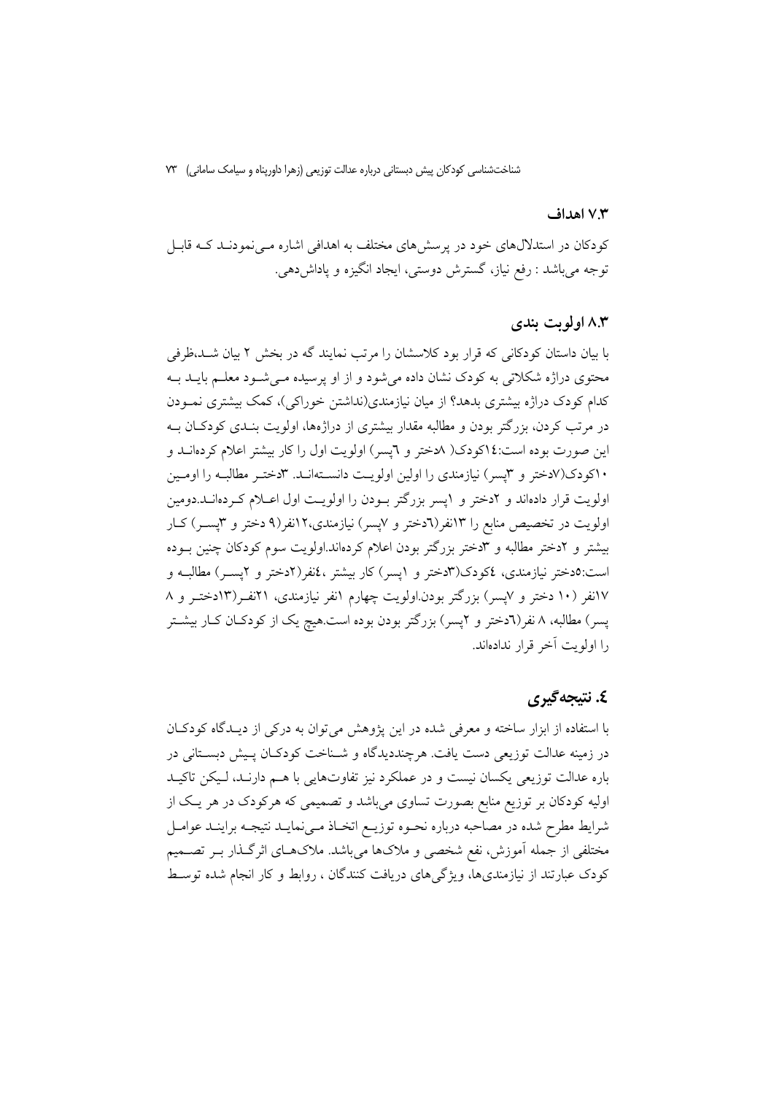#### ۷.۳ اهداف

کودکان در استدلال های خود در پرسش های مختلف به اهدافی اشاره مـی نمودنـد کــه قابـل توجه میباشد : رفع نیاز، گسترش دوستی، ایجاد انگیزه و پاداشدهی.

## ۸.۳ اولويت بندي

با بیان داستان کودکانی که قرار بود کلاسشان را مرتب نمایند گه در بخش ۲ بیان شـد،ظرفی محتوی دراژه شکلاتی به کودک نشان داده می شود و از او پرسیده مـی شـود معلـم بایــد بــه کدام کودک دراژه بیشتری بدهد؟ از میان نیازمندی(نداشتن خوراکی)، کمک بیشتری نمـودن در مرتب کردن، بزرگتر بودن و مطالبه مقدار بیشتری از دراژهها، اولویت بنـدی کودکـان بــه این صورت بوده است:١٤کودک( ٨دختر و ٦یسر) اولویت اول را کار بیشتر اعلام کردهانــد و ۱۰کودک(۷دختر و ۳پسر) نیازمندی را اولین اولویت دانسـتهانـد. ۳دختـر مطالبـه را اومـین اولویت قرار دادهاند و ۲دختر و ۱پسر بزرگتر بودن را اولویت اول اعبلام کردهانــد.دومین اولویت در تخصیص منابع را ۱۳نفر(٦دختر و ۷پسر) نیازمندی،۱۲نفر(۹ دختر و ۳پسـر) کـار بیشتر و ۲دختر مطالبه و ۳دختر بزرگتر بودن اعلام کردهاند.اولویت سوم کودکان چنین بوده است:٥دختر نیازمندی، ٤کودک(۳دختر و ١پسر) کار بیشتر ،٤نفر(٢دختر و ٢پسـر) مطالبـه و ۱۷نفر (۱۰ دختر و ۷پسر) بزرگتر بودن اولویت چهارم ۱نفر نیازمندی، ۲۱نفـر(۱۳دختـر و ۸ پسر) مطالبه، ۸ نفر(٦دختر و ۲پسر) بزرگتر بودن بوده است.هیچ یک از کودکـان کـار بیشــتر را اولويت آخر قرار ندادهاند.

## ٤. نتيجه گيري

با استفاده از ابزار ساخته و معرفی شده در این یژوهش می توان به درکی از دیـدگاه کودکـان در زمینه عدالت توزیعی دست یافت. هرچنددیدگاه و شـناخت کودکـان پـیش دبسـتانی در .<br>باره عدالت توزیعی یکسان نیست و در عملکرد نیز تفاوتهایی با هــم دارنــد، لــیکن تاکیــد اولیه کودکان بر توزیع منابع بصورت تساوی میباشد و تصمیمی که هرکودک در هر یک از شرايط مطرح شده در مصاحبه درباره نحـوه توزيـع اتخـاذ مـىنمايـد نتيجـه براينـد عوامـل مختلفی از جمله آموزش، نفع شخصی و ملاکها میباشد. ملاکهـای اثرگـذار بـر تصــمیم کودک عبارتند از نیازمندیها، ویژگیهای دریافت کنندگان ، روابط و کار انجام شده توسط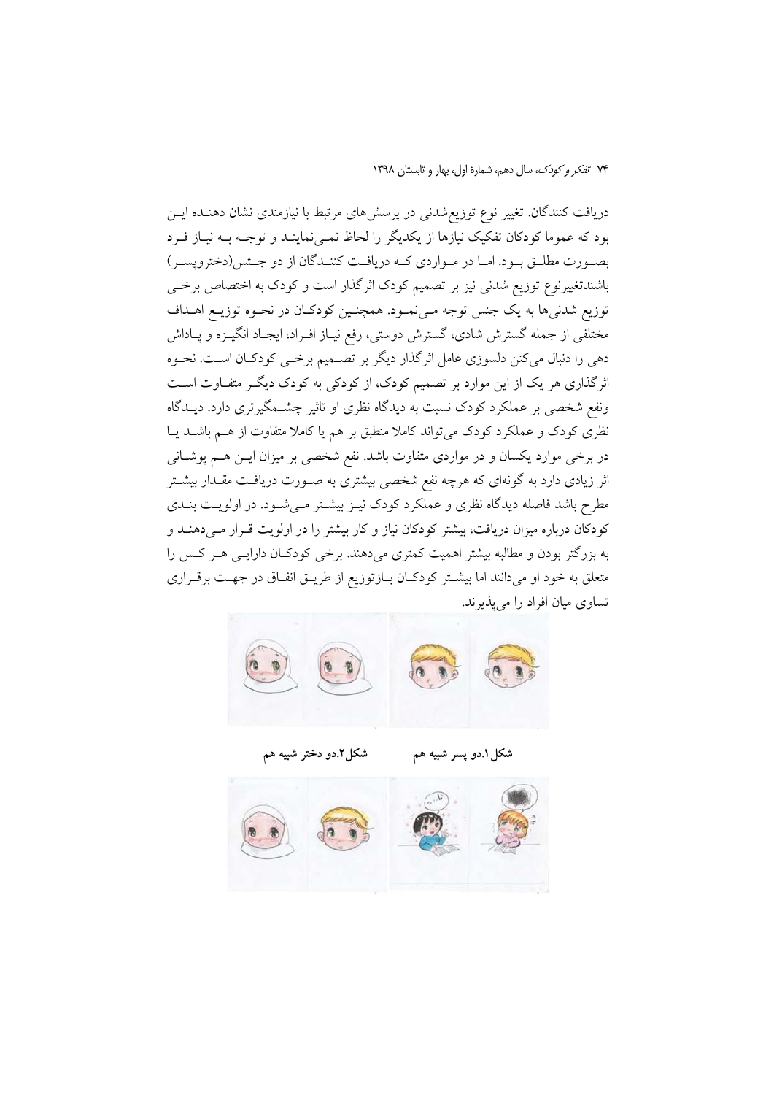دریافت کنندگان. تغییر نوع توزیع شدنی در پرسشهای مرتبط با نیازمندی نشان دهنـده ایــن بود که عموما کودکان تفکیک نیازها از یکدیگر را لحاظ نمـی نماینـد و توجـه بــه نیــاز فــرد بصورت مطلـق بـود. امـا در مـواردي كـه دريافـت كننـدگان از دو جـتس(دختروپسـر) باشندتغییرنوع توزیع شدنی نیز بر تصمیم کودک اثرگذار است و کودک به اختصاص برخے توزيع شدني ها به يک جنس توجه مـيiمـود. همچنـين کودکـان در نحـوه توزيـع اهـداف مختلفی از جمله گسترش شادی، گسترش دوستی، رفع نیـاز افـراد، ایجـاد انگیــزه و پــاداش دهی را دنبال میکنن دلسوزی عامل اثرگذار دیگر بر تصـمیم برخـی کودکـان اسـت. نحـوه اثرگذاری هر یک از این موارد بر تصمیم کودک، از کودکی به کودک دیگـر متفـاوت اسـت ونفع شخصی بر عملکرد کودک نسبت به دیدگاه نظری او تاثیر چشــمگیرتری دارد. دیــدگاه نظری کودک و عملکرد کودک می تواند کاملا منطبق بر هم یا کاملا متفاوت از هـم باشـد یـا در برخی موارد یکسان و در مواردی متفاوت باشد. نفع شخصی بر میزان ایــن هــم پوشــانی اثر زیادی دارد به گونهای که هرچه نفع شخصی بیشتری به صـورت دریافـت مقـدار بیشـتر مطرح باشد فاصله دیدگاه نظری و عملکرد کودک نیـز بیشـتر مـیشـود. در اولویـت بنـدی کودکان درباره میزان دریافت، بیشتر کودکان نیاز و کار بیشتر را در اولویت قـرار مـیدهنـد و به بزرگتر بودن و مطالبه بیشتر اهمیت کمتری میدهند. برخی کودکان دارایـی هـر کـس را متعلق به خود او میدانند اما بیشتر کودکان بازتوزیع از طریـق انفـاق در جهـت برقـراری تساوی میان افراد را می پذیرند.



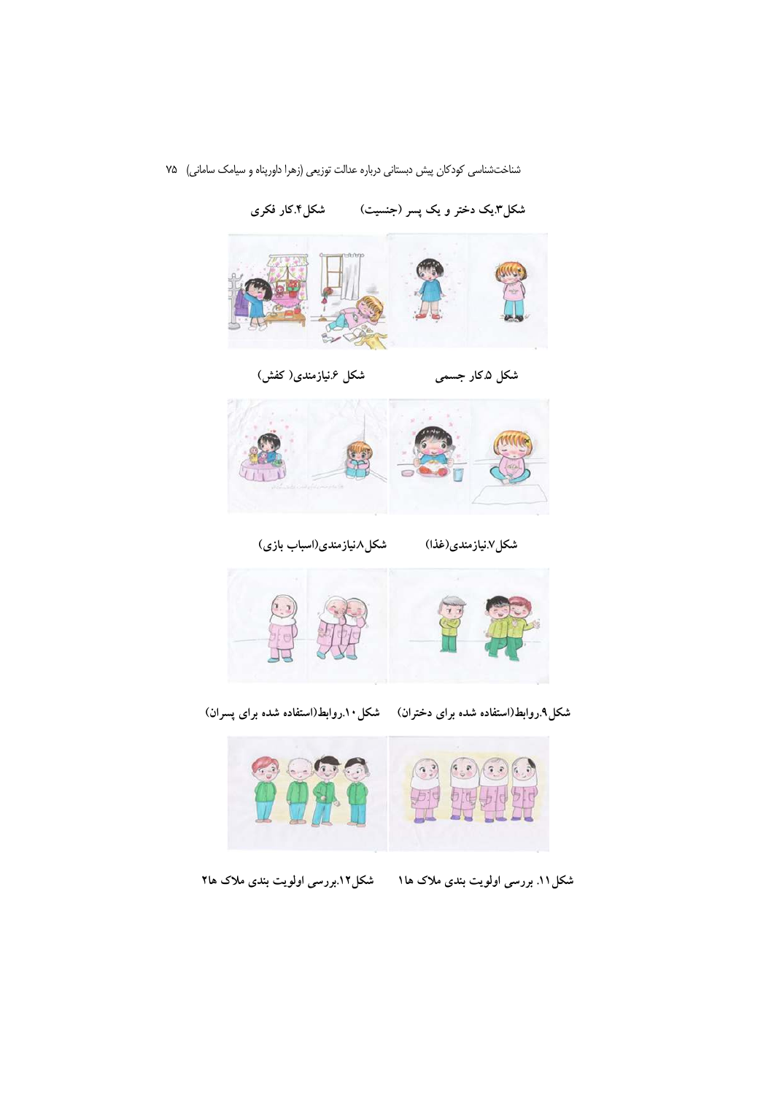

شکل۳یک دختر و یک پسر (جنسیت) مشکل۴.کار فکری

شکل ۶.نیازمندی(کفش)





شکل۷نیازمندی(غذا) شکل۸نیازمندی(اسباب بازی)



شکل۹.روابط(استفاده شده برای دختران) مشکل۱۰.روابط(استفاده شده برای پسران)



شکل ۱۱. بررسی اولویت بندی ملاک ها ۱ شکل ۱۲.بررسی اولویت بندی ملاک ها۲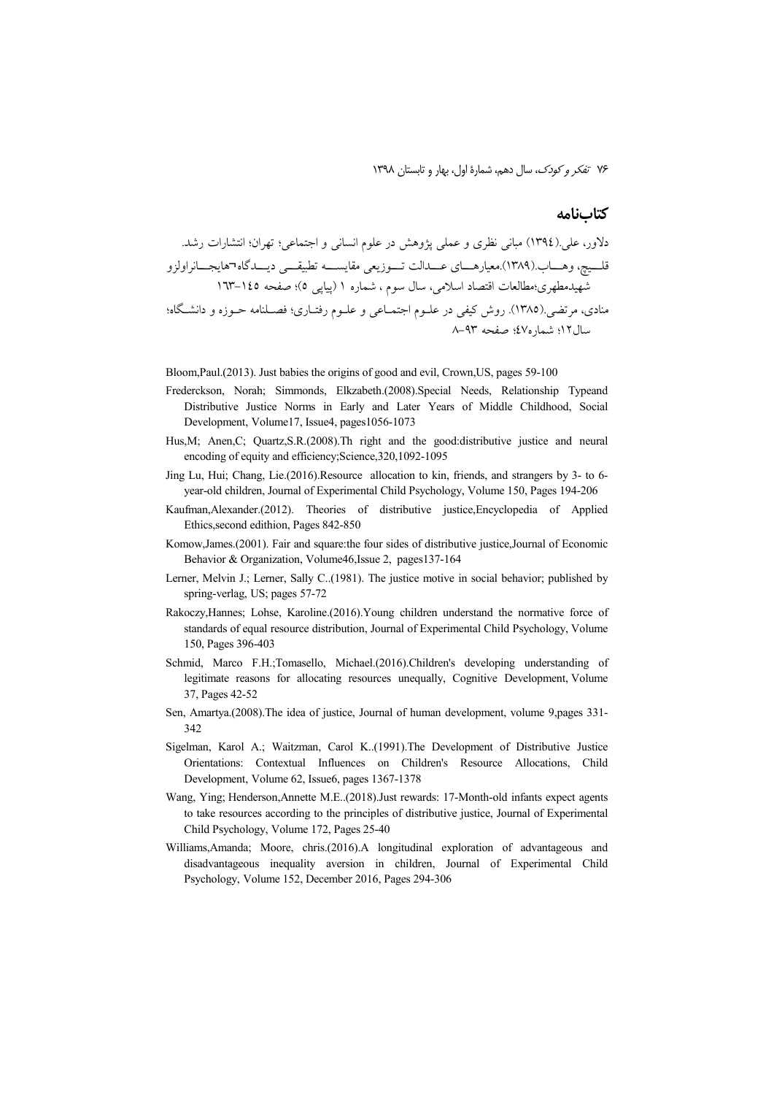## **كتابنامه**

.,# B #\% m g m\$C%T \$& XMC # - \$MC H \$! ( 1394).\$MC U#d F/ N¬ \$3
0 -&3! \$." (/ C #
.!.(1389).@ Uj
Mt 145 -163 -\*v 5m( \$
) 1 #, U X) Z) U\$!D) %t B./0!mg0!
g, m9\ "G -! MO m# %O# XMC \$C%T XMC # \$\*
 ># .( 1385).\$â! U ! 93 -8 -\*v m47#, m12Z)

Bloom,Paul.(2013). Just babies the origins of good and evil, Crown,US, pages 59-100

- Frederckson, Norah; Simmonds, Elkzabeth.(2008).Special Needs, Relationship Typeand Distributive Justice Norms in Early and Later Years of Middle Childhood, Social Development, Volume17, Issue4, pages1056-1073
- Hus, M; Anen, C; Quartz, S.R. (2008). Th right and the good: distributive justice and neural encoding of equity and efficiency;Science,320,1092-1095
- Jing Lu, Hui; Chang, Lie.(2016).Resource allocation to kin, friends, and strangers by 3- to 6 year-old children, Journal of Experimental Child Psychology, Volume 150, Pages 194-206
- Kaufman,Alexander.(2012). Theories of distributive justice,Encyclopedia of Applied Ethics,second edithion, Pages 842-850
- Komow,James.(2001). Fair and square:the four sides of distributive justice,Journal of Economic Behavior & Organization, Volume46,Issue 2, pages137-164
- Lerner, Melvin J.; Lerner, Sally C..(1981). The justice motive in social behavior; published by spring-verlag, US; pages 57-72
- Rakoczy,Hannes; Lohse, Karoline.(2016).Young children understand the normative force of standards of equal resource distribution, Journal of Experimental Child Psychology, Volume 150, Pages 396-403
- Schmid, Marco F.H.;Tomasello, Michael.(2016).Children's developing understanding of legitimate reasons for allocating resources unequally, Cognitive Development, Volume 37, Pages 42-52
- Sen, Amartya.(2008).The idea of justice, Journal of human development, volume 9,pages 331-  $342$
- Sigelman, Karol A.; Waitzman, Carol K..(1991).The Development of Distributive Justice Orientations: Contextual Influences on Children's Resource Allocations, Child Development, Volume 62, Issue6, pages 1367-1378
- Wang, Ying; Henderson,Annette M.E..(2018).Just rewards: 17-Month-old infants expect agents to take resources according to the principles of distributive justice, Journal of Experimental Child Psychology, Volume 172, Pages 25-40
- Williams,Amanda; Moore, chris.(2016).A longitudinal exploration of advantageous and disadvantageous inequality aversion in children, Journal of Experimental Child Psychology, Volume 152, December 2016, Pages 294-306